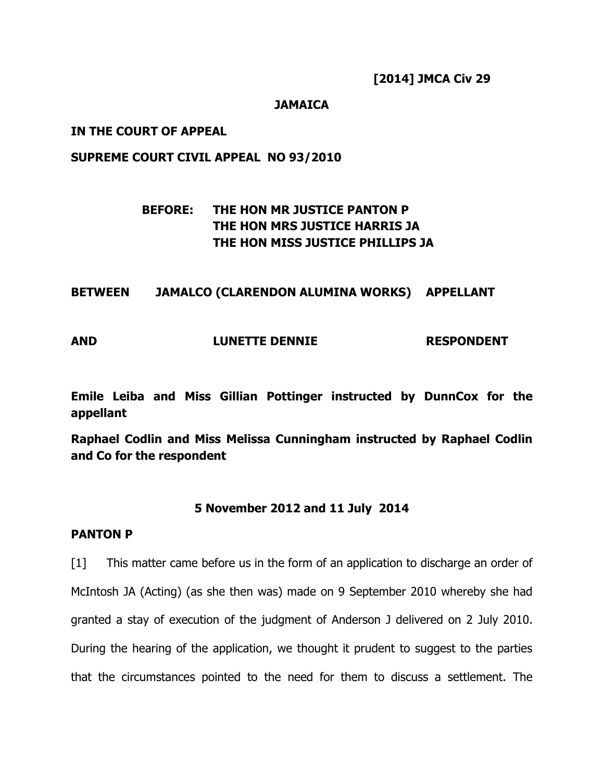[2014] JMCA Civ 29

#### **JAMAICA**

#### IN THE COURT OF APPEAL

#### SUPREME COURT CIVIL APPEAL NO 93/2010

# BEFORE: THE HON MR JUSTICE PANTON P THE HON MRS JUSTICE HARRIS JA THE HON MISS JUSTICE PHILLIPS JA

#### BETWEEN JAMALCO (CLARENDON ALUMINA WORKS) APPELLANT

#### AND LUNETTE DENNIE RESPONDENT

Emile Leiba and Miss Gillian Pottinger instructed by DunnCox for the appellant

Raphael Codlin and Miss Melissa Cunningham instructed by Raphael Codlin and Co for the respondent

#### 5 November 2012 and 11 July 2014

#### PANTON P

[1] This matter came before us in the form of an application to discharge an order of McIntosh JA (Acting) (as she then was) made on 9 September 2010 whereby she had granted a stay of execution of the judgment of Anderson J delivered on 2 July 2010. During the hearing of the application, we thought it prudent to suggest to the parties that the circumstances pointed to the need for them to discuss a settlement. The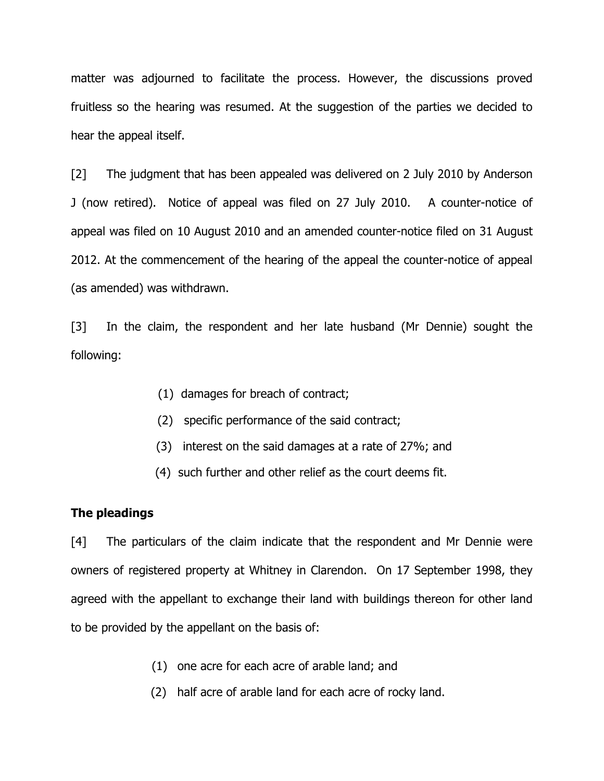matter was adjourned to facilitate the process. However, the discussions proved fruitless so the hearing was resumed. At the suggestion of the parties we decided to hear the appeal itself.

[2] The judgment that has been appealed was delivered on 2 July 2010 by Anderson J (now retired). Notice of appeal was filed on 27 July 2010. A counter-notice of appeal was filed on 10 August 2010 and an amended counter-notice filed on 31 August 2012. At the commencement of the hearing of the appeal the counter-notice of appeal (as amended) was withdrawn.

[3] In the claim, the respondent and her late husband (Mr Dennie) sought the following:

- (1) damages for breach of contract;
- (2) specific performance of the said contract;
- (3) interest on the said damages at a rate of 27%; and
- (4) such further and other relief as the court deems fit.

#### The pleadings

[4] The particulars of the claim indicate that the respondent and Mr Dennie were owners of registered property at Whitney in Clarendon. On 17 September 1998, they agreed with the appellant to exchange their land with buildings thereon for other land to be provided by the appellant on the basis of:

- (1) one acre for each acre of arable land; and
- (2) half acre of arable land for each acre of rocky land.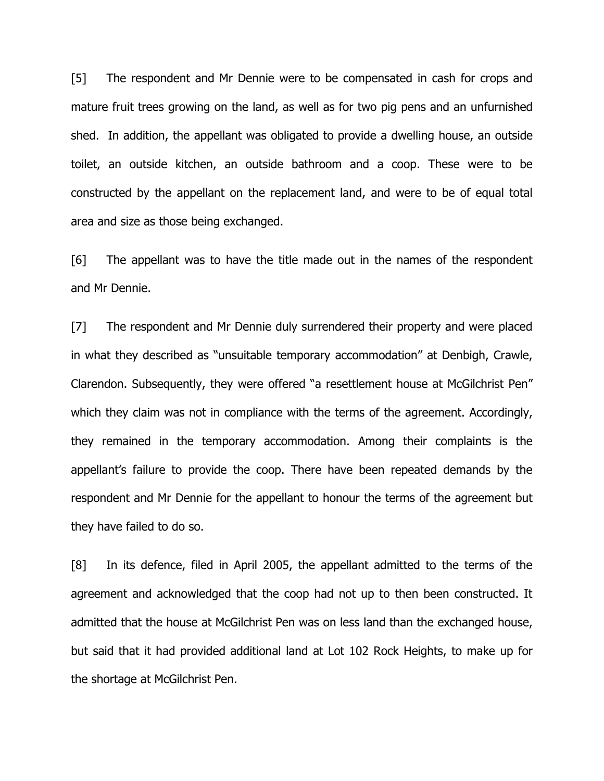[5] The respondent and Mr Dennie were to be compensated in cash for crops and mature fruit trees growing on the land, as well as for two pig pens and an unfurnished shed. In addition, the appellant was obligated to provide a dwelling house, an outside toilet, an outside kitchen, an outside bathroom and a coop. These were to be constructed by the appellant on the replacement land, and were to be of equal total area and size as those being exchanged.

[6] The appellant was to have the title made out in the names of the respondent and Mr Dennie.

[7] The respondent and Mr Dennie duly surrendered their property and were placed in what they described as "unsuitable temporary accommodation" at Denbigh, Crawle, Clarendon. Subsequently, they were offered "a resettlement house at McGilchrist Pen" which they claim was not in compliance with the terms of the agreement. Accordingly, they remained in the temporary accommodation. Among their complaints is the appellant's failure to provide the coop. There have been repeated demands by the respondent and Mr Dennie for the appellant to honour the terms of the agreement but they have failed to do so.

[8] In its defence, filed in April 2005, the appellant admitted to the terms of the agreement and acknowledged that the coop had not up to then been constructed. It admitted that the house at McGilchrist Pen was on less land than the exchanged house, but said that it had provided additional land at Lot 102 Rock Heights, to make up for the shortage at McGilchrist Pen.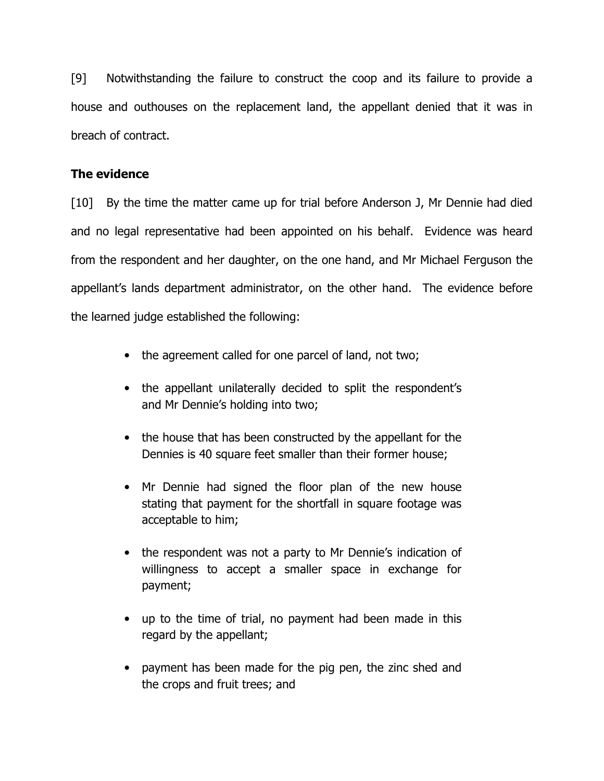[9] Notwithstanding the failure to construct the coop and its failure to provide a house and outhouses on the replacement land, the appellant denied that it was in breach of contract.

## The evidence

[10] By the time the matter came up for trial before Anderson J, Mr Dennie had died and no legal representative had been appointed on his behalf. Evidence was heard from the respondent and her daughter, on the one hand, and Mr Michael Ferguson the appellant's lands department administrator, on the other hand. The evidence before the learned judge established the following:

- the agreement called for one parcel of land, not two;
- the appellant unilaterally decided to split the respondent's and Mr Dennie's holding into two;
- the house that has been constructed by the appellant for the Dennies is 40 square feet smaller than their former house;
- Mr Dennie had signed the floor plan of the new house stating that payment for the shortfall in square footage was acceptable to him;
- the respondent was not a party to Mr Dennie's indication of willingness to accept a smaller space in exchange for payment;
- up to the time of trial, no payment had been made in this regard by the appellant;
- payment has been made for the pig pen, the zinc shed and the crops and fruit trees; and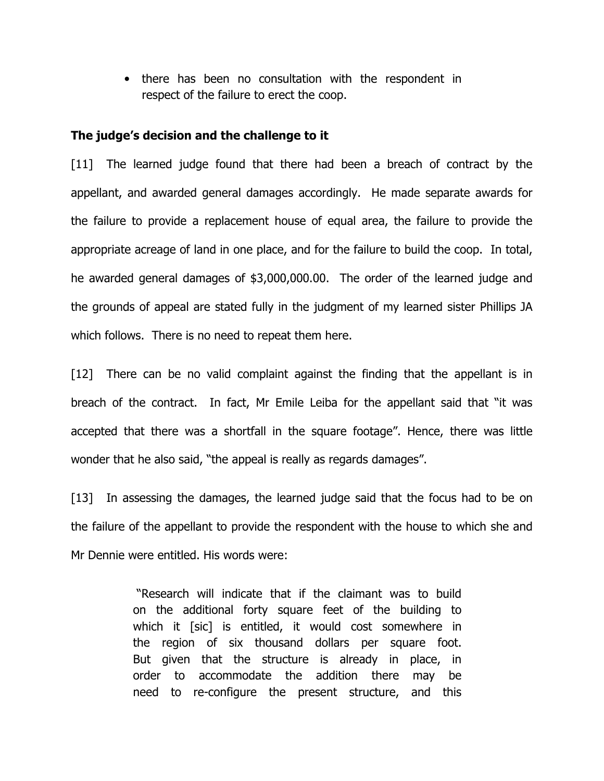• there has been no consultation with the respondent in respect of the failure to erect the coop.

#### The judge's decision and the challenge to it

[11] The learned judge found that there had been a breach of contract by the appellant, and awarded general damages accordingly. He made separate awards for the failure to provide a replacement house of equal area, the failure to provide the appropriate acreage of land in one place, and for the failure to build the coop. In total, he awarded general damages of \$3,000,000.00. The order of the learned judge and the grounds of appeal are stated fully in the judgment of my learned sister Phillips JA which follows. There is no need to repeat them here.

[12] There can be no valid complaint against the finding that the appellant is in breach of the contract. In fact, Mr Emile Leiba for the appellant said that "it was accepted that there was a shortfall in the square footage". Hence, there was little wonder that he also said, "the appeal is really as regards damages".

[13] In assessing the damages, the learned judge said that the focus had to be on the failure of the appellant to provide the respondent with the house to which she and Mr Dennie were entitled. His words were:

> "Research will indicate that if the claimant was to build on the additional forty square feet of the building to which it [sic] is entitled, it would cost somewhere in the region of six thousand dollars per square foot. But given that the structure is already in place, in order to accommodate the addition there may be need to re-configure the present structure, and this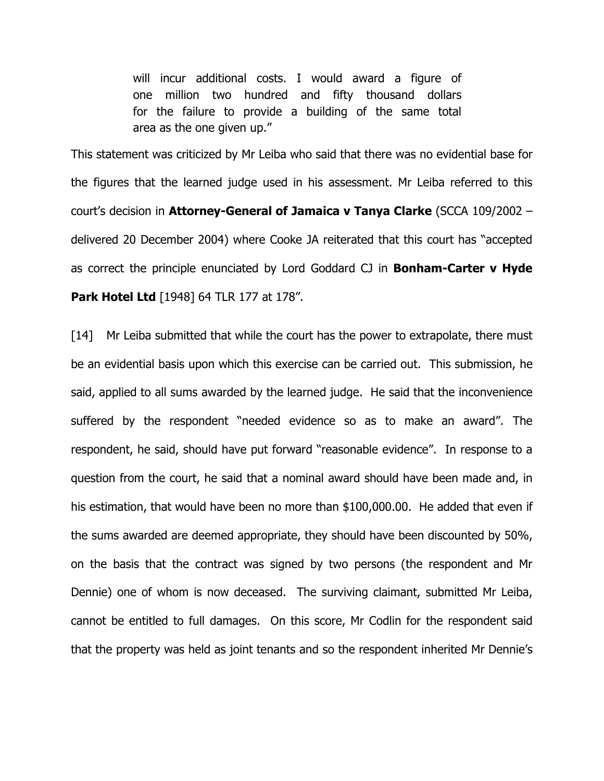will incur additional costs. I would award a figure of one million two hundred and fifty thousand dollars for the failure to provide a building of the same total area as the one given up."

This statement was criticized by Mr Leiba who said that there was no evidential base for the figures that the learned judge used in his assessment. Mr Leiba referred to this court's decision in Attorney-General of Jamaica v Tanya Clarke (SCCA 109/2002 – delivered 20 December 2004) where Cooke JA reiterated that this court has "accepted as correct the principle enunciated by Lord Goddard CJ in **Bonham-Carter v Hyde Park Hotel Ltd** [1948] 64 TLR 177 at 178".

[14] Mr Leiba submitted that while the court has the power to extrapolate, there must be an evidential basis upon which this exercise can be carried out. This submission, he said, applied to all sums awarded by the learned judge. He said that the inconvenience suffered by the respondent "needed evidence so as to make an award". The respondent, he said, should have put forward "reasonable evidence". In response to a question from the court, he said that a nominal award should have been made and, in his estimation, that would have been no more than \$100,000.00. He added that even if the sums awarded are deemed appropriate, they should have been discounted by 50%, on the basis that the contract was signed by two persons (the respondent and Mr Dennie) one of whom is now deceased. The surviving claimant, submitted Mr Leiba, cannot be entitled to full damages. On this score, Mr Codlin for the respondent said that the property was held as joint tenants and so the respondent inherited Mr Dennie's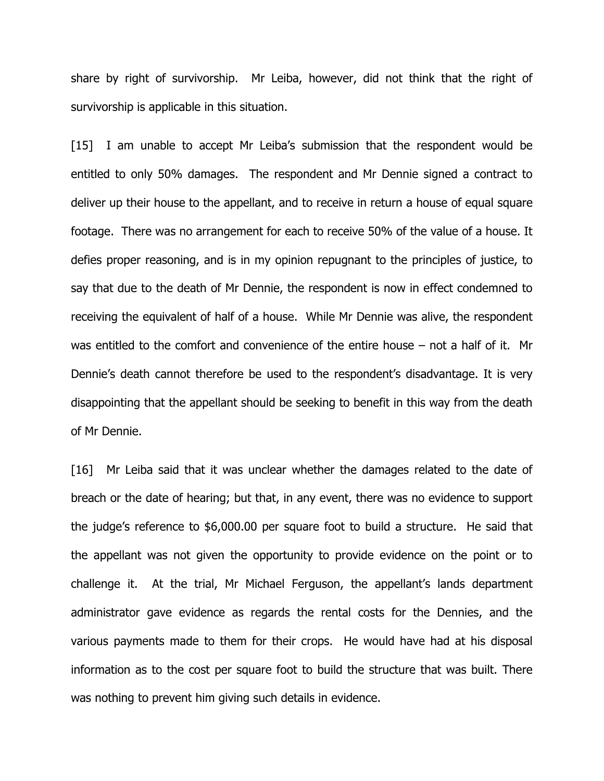share by right of survivorship. Mr Leiba, however, did not think that the right of survivorship is applicable in this situation.

[15] I am unable to accept Mr Leiba's submission that the respondent would be entitled to only 50% damages. The respondent and Mr Dennie signed a contract to deliver up their house to the appellant, and to receive in return a house of equal square footage. There was no arrangement for each to receive 50% of the value of a house. It defies proper reasoning, and is in my opinion repugnant to the principles of justice, to say that due to the death of Mr Dennie, the respondent is now in effect condemned to receiving the equivalent of half of a house. While Mr Dennie was alive, the respondent was entitled to the comfort and convenience of the entire house – not a half of it. Mr Dennie's death cannot therefore be used to the respondent's disadvantage. It is very disappointing that the appellant should be seeking to benefit in this way from the death of Mr Dennie.

[16] Mr Leiba said that it was unclear whether the damages related to the date of breach or the date of hearing; but that, in any event, there was no evidence to support the judge's reference to \$6,000.00 per square foot to build a structure. He said that the appellant was not given the opportunity to provide evidence on the point or to challenge it. At the trial, Mr Michael Ferguson, the appellant's lands department administrator gave evidence as regards the rental costs for the Dennies, and the various payments made to them for their crops. He would have had at his disposal information as to the cost per square foot to build the structure that was built. There was nothing to prevent him giving such details in evidence.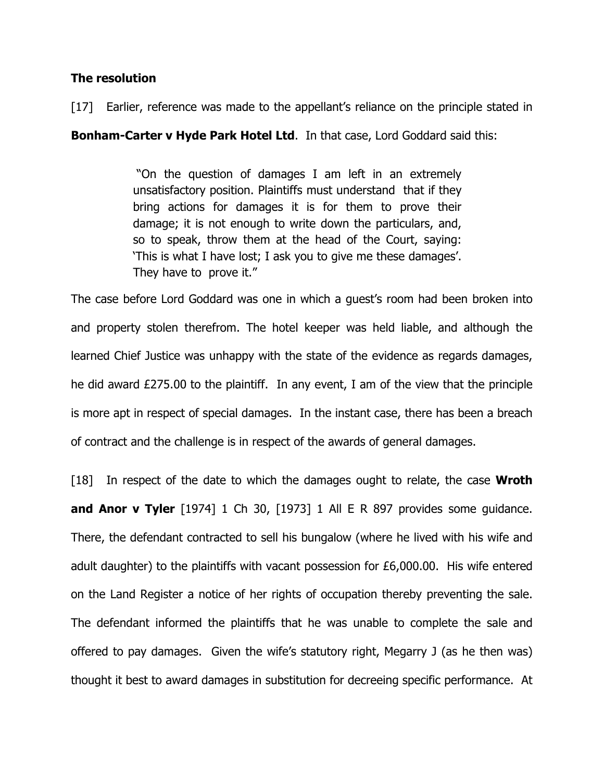#### The resolution

[17] Earlier, reference was made to the appellant's reliance on the principle stated in

**Bonham-Carter v Hyde Park Hotel Ltd.** In that case, Lord Goddard said this:

 "On the question of damages I am left in an extremely unsatisfactory position. Plaintiffs must understand that if they bring actions for damages it is for them to prove their damage; it is not enough to write down the particulars, and, so to speak, throw them at the head of the Court, saying: 'This is what I have lost; I ask you to give me these damages'. They have to prove it."

The case before Lord Goddard was one in which a guest's room had been broken into and property stolen therefrom. The hotel keeper was held liable, and although the learned Chief Justice was unhappy with the state of the evidence as regards damages, he did award £275.00 to the plaintiff. In any event, I am of the view that the principle is more apt in respect of special damages. In the instant case, there has been a breach of contract and the challenge is in respect of the awards of general damages.

[18] In respect of the date to which the damages ought to relate, the case **Wroth** and Anor v Tyler  $[1974]$  1 Ch 30,  $[1973]$  1 All E R 897 provides some guidance. There, the defendant contracted to sell his bungalow (where he lived with his wife and adult daughter) to the plaintiffs with vacant possession for £6,000.00. His wife entered on the Land Register a notice of her rights of occupation thereby preventing the sale. The defendant informed the plaintiffs that he was unable to complete the sale and offered to pay damages. Given the wife's statutory right, Megarry J (as he then was) thought it best to award damages in substitution for decreeing specific performance. At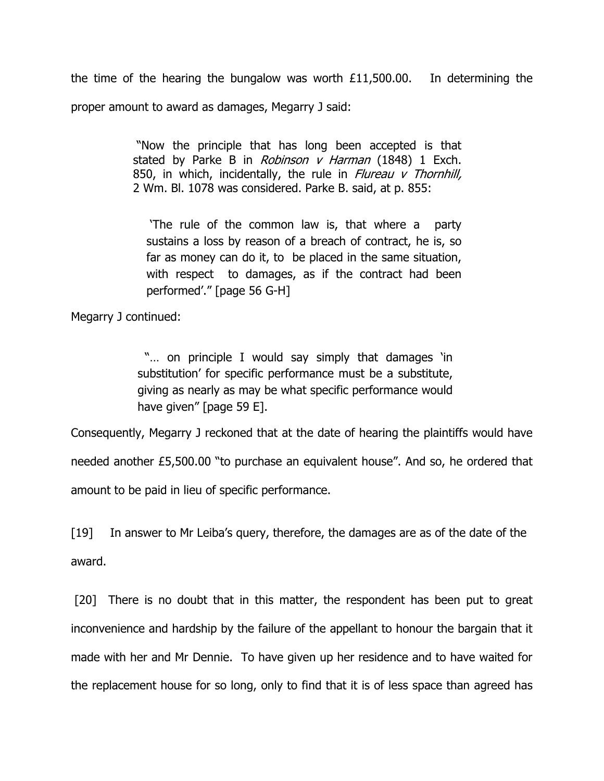the time of the hearing the bungalow was worth £11,500.00. In determining the proper amount to award as damages, Megarry J said:

> "Now the principle that has long been accepted is that stated by Parke B in Robinson v Harman (1848) 1 Exch. 850, in which, incidentally, the rule in Flureau  $v$  Thornhill, 2 Wm. Bl. 1078 was considered. Parke B. said, at p. 855:

 'The rule of the common law is, that where a party sustains a loss by reason of a breach of contract, he is, so far as money can do it, to be placed in the same situation, with respect to damages, as if the contract had been performed'." [page 56 G-H]

Megarry J continued:

"... on principle I would say simply that damages 'in substitution' for specific performance must be a substitute, giving as nearly as may be what specific performance would have given" [page 59 E].

Consequently, Megarry J reckoned that at the date of hearing the plaintiffs would have needed another £5,500.00 "to purchase an equivalent house". And so, he ordered that amount to be paid in lieu of specific performance.

[19] In answer to Mr Leiba's query, therefore, the damages are as of the date of the award.

[20] There is no doubt that in this matter, the respondent has been put to great inconvenience and hardship by the failure of the appellant to honour the bargain that it made with her and Mr Dennie. To have given up her residence and to have waited for the replacement house for so long, only to find that it is of less space than agreed has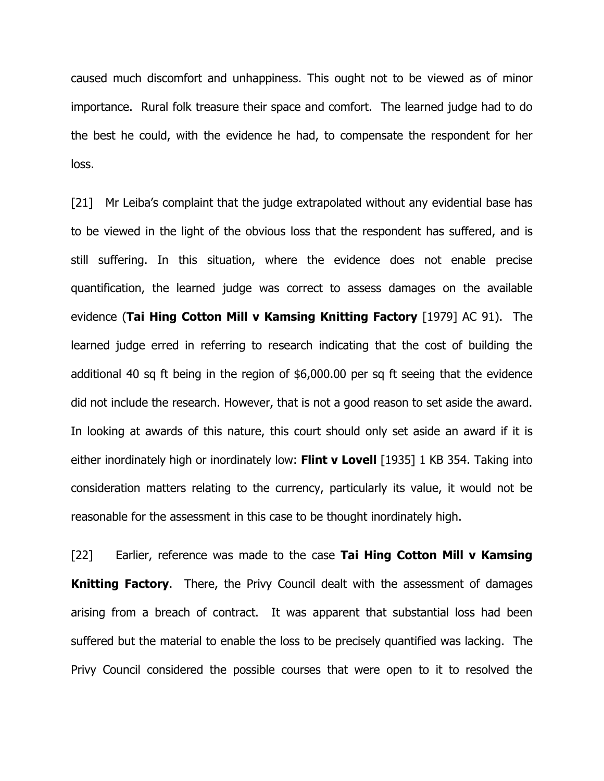caused much discomfort and unhappiness. This ought not to be viewed as of minor importance. Rural folk treasure their space and comfort. The learned judge had to do the best he could, with the evidence he had, to compensate the respondent for her loss.

[21] Mr Leiba's complaint that the judge extrapolated without any evidential base has to be viewed in the light of the obvious loss that the respondent has suffered, and is still suffering. In this situation, where the evidence does not enable precise quantification, the learned judge was correct to assess damages on the available evidence (Tai Hing Cotton Mill v Kamsing Knitting Factory [1979] AC 91). The learned judge erred in referring to research indicating that the cost of building the additional 40 sq ft being in the region of \$6,000.00 per sq ft seeing that the evidence did not include the research. However, that is not a good reason to set aside the award. In looking at awards of this nature, this court should only set aside an award if it is either inordinately high or inordinately low: Flint v Lovell [1935] 1 KB 354. Taking into consideration matters relating to the currency, particularly its value, it would not be reasonable for the assessment in this case to be thought inordinately high.

[22] Earlier, reference was made to the case Tai Hing Cotton Mill v Kamsing **Knitting Factory.** There, the Privy Council dealt with the assessment of damages arising from a breach of contract. It was apparent that substantial loss had been suffered but the material to enable the loss to be precisely quantified was lacking. The Privy Council considered the possible courses that were open to it to resolved the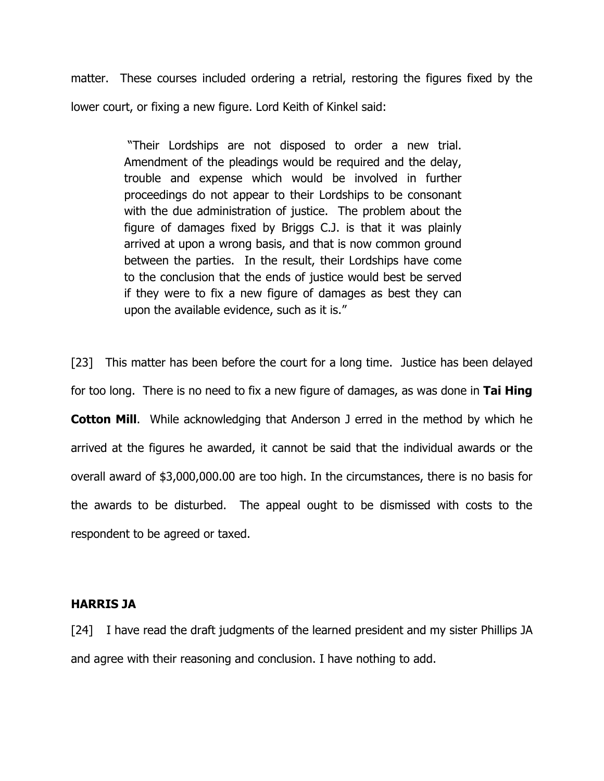matter. These courses included ordering a retrial, restoring the figures fixed by the lower court, or fixing a new figure. Lord Keith of Kinkel said:

> "Their Lordships are not disposed to order a new trial. Amendment of the pleadings would be required and the delay, trouble and expense which would be involved in further proceedings do not appear to their Lordships to be consonant with the due administration of justice. The problem about the figure of damages fixed by Briggs C.J. is that it was plainly arrived at upon a wrong basis, and that is now common ground between the parties. In the result, their Lordships have come to the conclusion that the ends of justice would best be served if they were to fix a new figure of damages as best they can upon the available evidence, such as it is."

[23] This matter has been before the court for a long time. Justice has been delayed for too long. There is no need to fix a new figure of damages, as was done in Tai Hing **Cotton Mill.** While acknowledging that Anderson J erred in the method by which he arrived at the figures he awarded, it cannot be said that the individual awards or the overall award of \$3,000,000.00 are too high. In the circumstances, there is no basis for the awards to be disturbed. The appeal ought to be dismissed with costs to the respondent to be agreed or taxed.

#### HARRIS JA

[24] I have read the draft judgments of the learned president and my sister Phillips JA and agree with their reasoning and conclusion. I have nothing to add.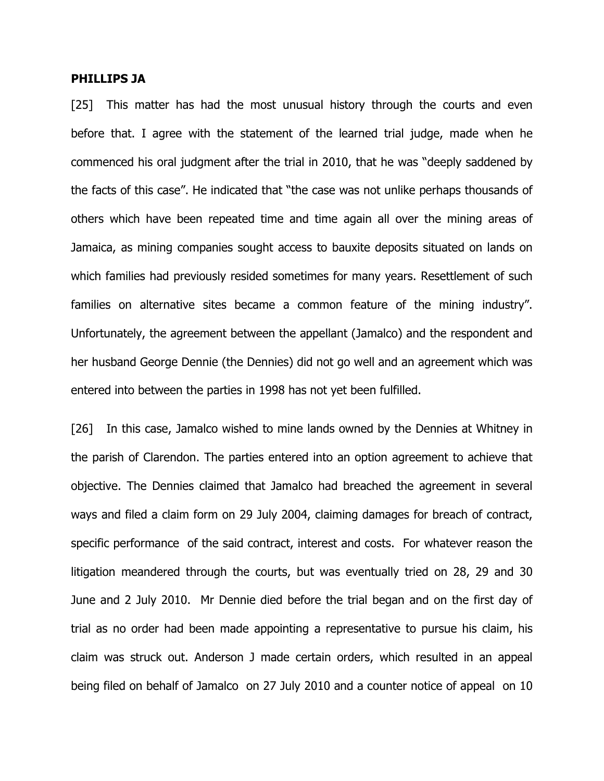#### PHILLIPS JA

[25] This matter has had the most unusual history through the courts and even before that. I agree with the statement of the learned trial judge, made when he commenced his oral judgment after the trial in 2010, that he was "deeply saddened by the facts of this case". He indicated that "the case was not unlike perhaps thousands of others which have been repeated time and time again all over the mining areas of Jamaica, as mining companies sought access to bauxite deposits situated on lands on which families had previously resided sometimes for many years. Resettlement of such families on alternative sites became a common feature of the mining industry". Unfortunately, the agreement between the appellant (Jamalco) and the respondent and her husband George Dennie (the Dennies) did not go well and an agreement which was entered into between the parties in 1998 has not yet been fulfilled.

[26] In this case, Jamalco wished to mine lands owned by the Dennies at Whitney in the parish of Clarendon. The parties entered into an option agreement to achieve that objective. The Dennies claimed that Jamalco had breached the agreement in several ways and filed a claim form on 29 July 2004, claiming damages for breach of contract, specific performance of the said contract, interest and costs. For whatever reason the litigation meandered through the courts, but was eventually tried on 28, 29 and 30 June and 2 July 2010. Mr Dennie died before the trial began and on the first day of trial as no order had been made appointing a representative to pursue his claim, his claim was struck out. Anderson J made certain orders, which resulted in an appeal being filed on behalf of Jamalco on 27 July 2010 and a counter notice of appeal on 10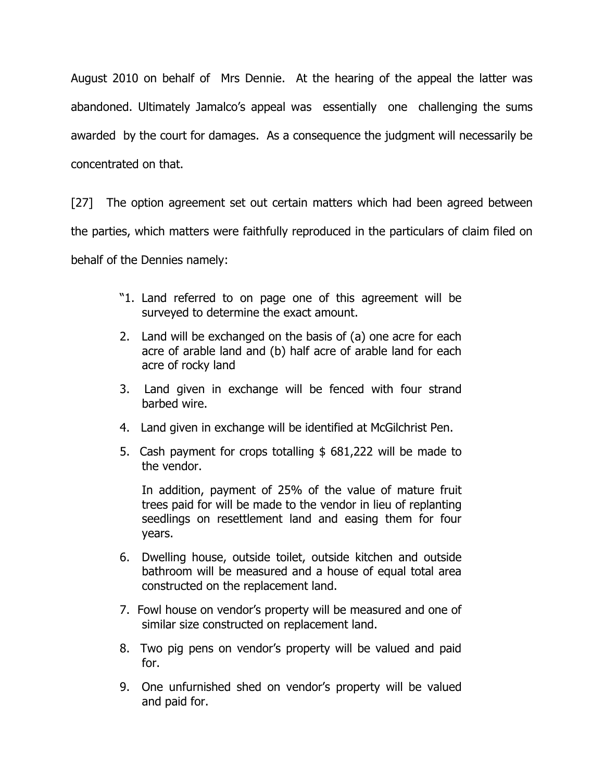August 2010 on behalf of Mrs Dennie. At the hearing of the appeal the latter was abandoned. Ultimately Jamalco's appeal was essentially one challenging the sums awarded by the court for damages. As a consequence the judgment will necessarily be concentrated on that.

[27] The option agreement set out certain matters which had been agreed between the parties, which matters were faithfully reproduced in the particulars of claim filed on behalf of the Dennies namely:

- "1. Land referred to on page one of this agreement will be surveyed to determine the exact amount.
- 2. Land will be exchanged on the basis of (a) one acre for each acre of arable land and (b) half acre of arable land for each acre of rocky land
- 3. Land given in exchange will be fenced with four strand barbed wire.
- 4. Land given in exchange will be identified at McGilchrist Pen.
- 5. Cash payment for crops totalling \$ 681,222 will be made to the vendor.

 In addition, payment of 25% of the value of mature fruit trees paid for will be made to the vendor in lieu of replanting seedlings on resettlement land and easing them for four years.

- 6. Dwelling house, outside toilet, outside kitchen and outside bathroom will be measured and a house of equal total area constructed on the replacement land.
- 7. Fowl house on vendor's property will be measured and one of similar size constructed on replacement land.
- 8. Two pig pens on vendor's property will be valued and paid for.
- 9. One unfurnished shed on vendor's property will be valued and paid for.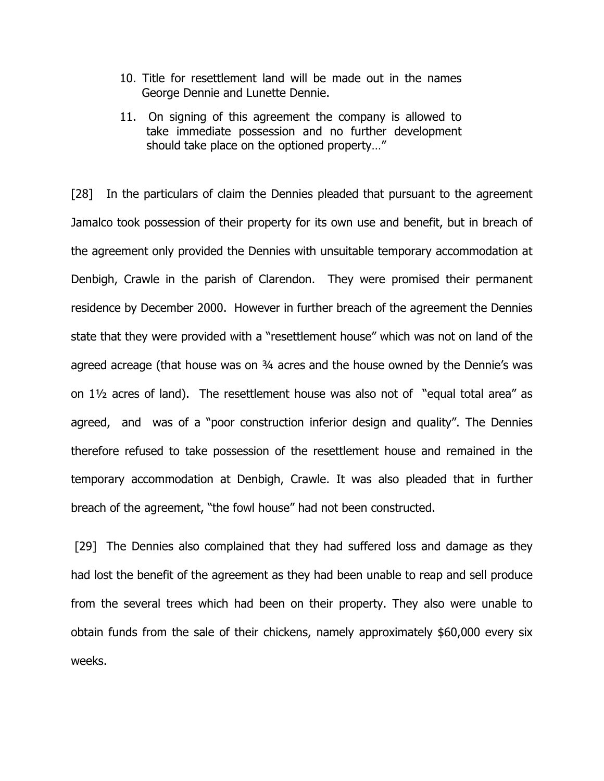- 10. Title for resettlement land will be made out in the names George Dennie and Lunette Dennie.
- 11. On signing of this agreement the company is allowed to take immediate possession and no further development should take place on the optioned property…"

[28] In the particulars of claim the Dennies pleaded that pursuant to the agreement Jamalco took possession of their property for its own use and benefit, but in breach of the agreement only provided the Dennies with unsuitable temporary accommodation at Denbigh, Crawle in the parish of Clarendon. They were promised their permanent residence by December 2000. However in further breach of the agreement the Dennies state that they were provided with a "resettlement house" which was not on land of the agreed acreage (that house was on 34 acres and the house owned by the Dennie's was on 1½ acres of land). The resettlement house was also not of "equal total area" as agreed, and was of a "poor construction inferior design and quality". The Dennies therefore refused to take possession of the resettlement house and remained in the temporary accommodation at Denbigh, Crawle. It was also pleaded that in further breach of the agreement, "the fowl house" had not been constructed.

[29] The Dennies also complained that they had suffered loss and damage as they had lost the benefit of the agreement as they had been unable to reap and sell produce from the several trees which had been on their property. They also were unable to obtain funds from the sale of their chickens, namely approximately \$60,000 every six weeks.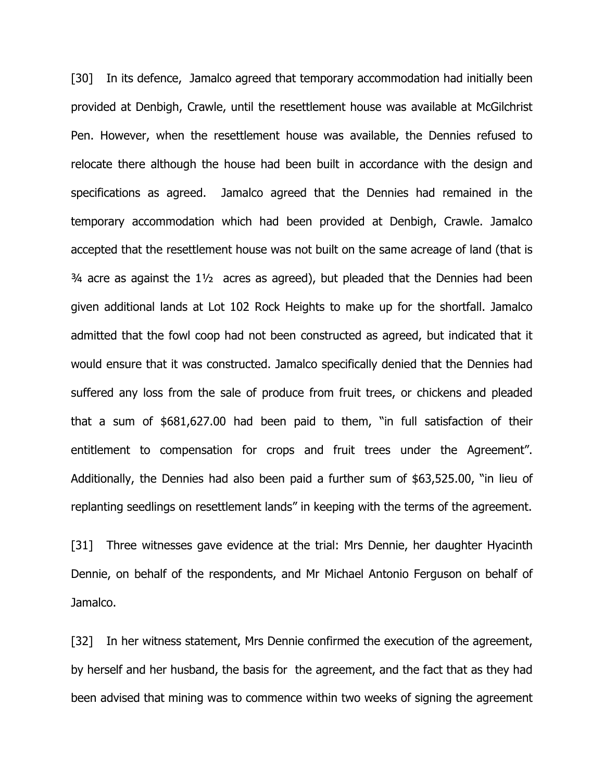[30] In its defence, Jamalco agreed that temporary accommodation had initially been provided at Denbigh, Crawle, until the resettlement house was available at McGilchrist Pen. However, when the resettlement house was available, the Dennies refused to relocate there although the house had been built in accordance with the design and specifications as agreed. Jamalco agreed that the Dennies had remained in the temporary accommodation which had been provided at Denbigh, Crawle. Jamalco accepted that the resettlement house was not built on the same acreage of land (that is  $\frac{3}{4}$  acre as against the  $\frac{1}{2}$  acres as agreed), but pleaded that the Dennies had been given additional lands at Lot 102 Rock Heights to make up for the shortfall. Jamalco admitted that the fowl coop had not been constructed as agreed, but indicated that it would ensure that it was constructed. Jamalco specifically denied that the Dennies had suffered any loss from the sale of produce from fruit trees, or chickens and pleaded that a sum of \$681,627.00 had been paid to them, "in full satisfaction of their entitlement to compensation for crops and fruit trees under the Agreement". Additionally, the Dennies had also been paid a further sum of \$63,525.00, "in lieu of replanting seedlings on resettlement lands" in keeping with the terms of the agreement.

[31] Three witnesses gave evidence at the trial: Mrs Dennie, her daughter Hyacinth Dennie, on behalf of the respondents, and Mr Michael Antonio Ferguson on behalf of Jamalco.

[32] In her witness statement, Mrs Dennie confirmed the execution of the agreement, by herself and her husband, the basis for the agreement, and the fact that as they had been advised that mining was to commence within two weeks of signing the agreement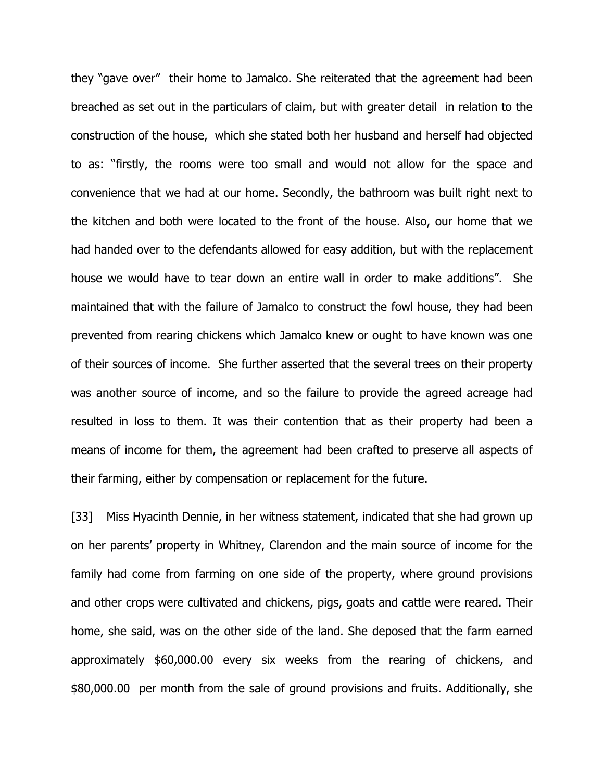they "gave over" their home to Jamalco. She reiterated that the agreement had been breached as set out in the particulars of claim, but with greater detail in relation to the construction of the house, which she stated both her husband and herself had objected to as: "firstly, the rooms were too small and would not allow for the space and convenience that we had at our home. Secondly, the bathroom was built right next to the kitchen and both were located to the front of the house. Also, our home that we had handed over to the defendants allowed for easy addition, but with the replacement house we would have to tear down an entire wall in order to make additions". She maintained that with the failure of Jamalco to construct the fowl house, they had been prevented from rearing chickens which Jamalco knew or ought to have known was one of their sources of income. She further asserted that the several trees on their property was another source of income, and so the failure to provide the agreed acreage had resulted in loss to them. It was their contention that as their property had been a means of income for them, the agreement had been crafted to preserve all aspects of their farming, either by compensation or replacement for the future.

[33] Miss Hyacinth Dennie, in her witness statement, indicated that she had grown up on her parents' property in Whitney, Clarendon and the main source of income for the family had come from farming on one side of the property, where ground provisions and other crops were cultivated and chickens, pigs, goats and cattle were reared. Their home, she said, was on the other side of the land. She deposed that the farm earned approximately \$60,000.00 every six weeks from the rearing of chickens, and \$80,000.00 per month from the sale of ground provisions and fruits. Additionally, she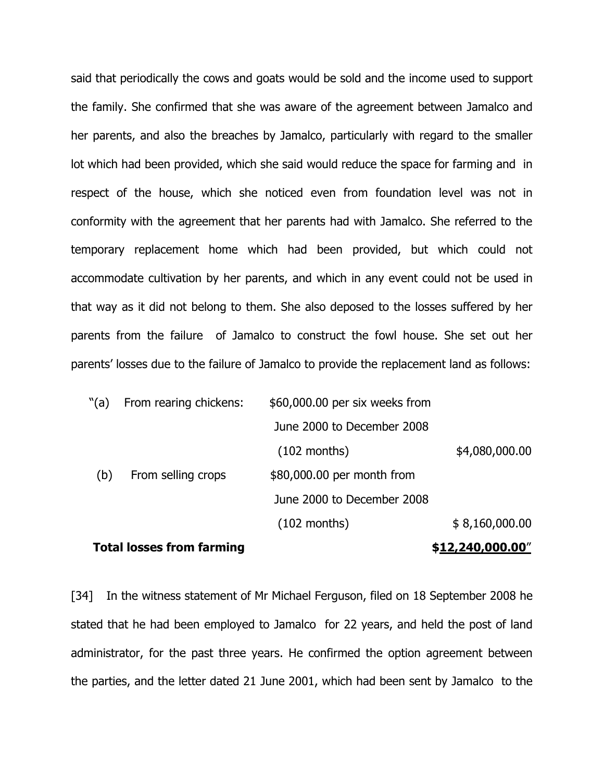said that periodically the cows and goats would be sold and the income used to support the family. She confirmed that she was aware of the agreement between Jamalco and her parents, and also the breaches by Jamalco, particularly with regard to the smaller lot which had been provided, which she said would reduce the space for farming and in respect of the house, which she noticed even from foundation level was not in conformity with the agreement that her parents had with Jamalco. She referred to the temporary replacement home which had been provided, but which could not accommodate cultivation by her parents, and which in any event could not be used in that way as it did not belong to them. She also deposed to the losses suffered by her parents from the failure of Jamalco to construct the fowl house. She set out her parents' losses due to the failure of Jamalco to provide the replacement land as follows:

| "(a) | From rearing chickens: | \$60,000.00 per six weeks from |                |
|------|------------------------|--------------------------------|----------------|
|      |                        | June 2000 to December 2008     |                |
|      |                        | $(102$ months)                 | \$4,080,000.00 |
| (b)  | From selling crops     | \$80,000.00 per month from     |                |
|      |                        | June 2000 to December 2008     |                |
|      |                        | $(102$ months)                 | \$8,160,000.00 |
|      |                        |                                |                |

#### Total losses from farming  $$12,240,000.00"$

[34] In the witness statement of Mr Michael Ferguson, filed on 18 September 2008 he stated that he had been employed to Jamalco for 22 years, and held the post of land administrator, for the past three years. He confirmed the option agreement between the parties, and the letter dated 21 June 2001, which had been sent by Jamalco to the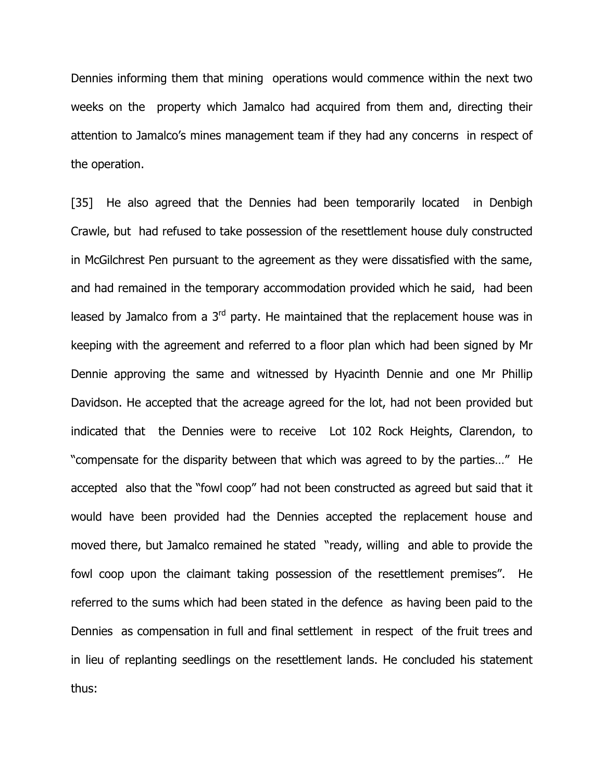Dennies informing them that mining operations would commence within the next two weeks on the property which Jamalco had acquired from them and, directing their attention to Jamalco's mines management team if they had any concerns in respect of the operation.

[35] He also agreed that the Dennies had been temporarily located in Denbigh Crawle, but had refused to take possession of the resettlement house duly constructed in McGilchrest Pen pursuant to the agreement as they were dissatisfied with the same, and had remained in the temporary accommodation provided which he said, had been leased by Jamalco from a  $3<sup>rd</sup>$  party. He maintained that the replacement house was in keeping with the agreement and referred to a floor plan which had been signed by Mr Dennie approving the same and witnessed by Hyacinth Dennie and one Mr Phillip Davidson. He accepted that the acreage agreed for the lot, had not been provided but indicated that the Dennies were to receive Lot 102 Rock Heights, Clarendon, to "compensate for the disparity between that which was agreed to by the parties…" He accepted also that the "fowl coop" had not been constructed as agreed but said that it would have been provided had the Dennies accepted the replacement house and moved there, but Jamalco remained he stated "ready, willing and able to provide the fowl coop upon the claimant taking possession of the resettlement premises". He referred to the sums which had been stated in the defence as having been paid to the Dennies as compensation in full and final settlement in respect of the fruit trees and in lieu of replanting seedlings on the resettlement lands. He concluded his statement thus: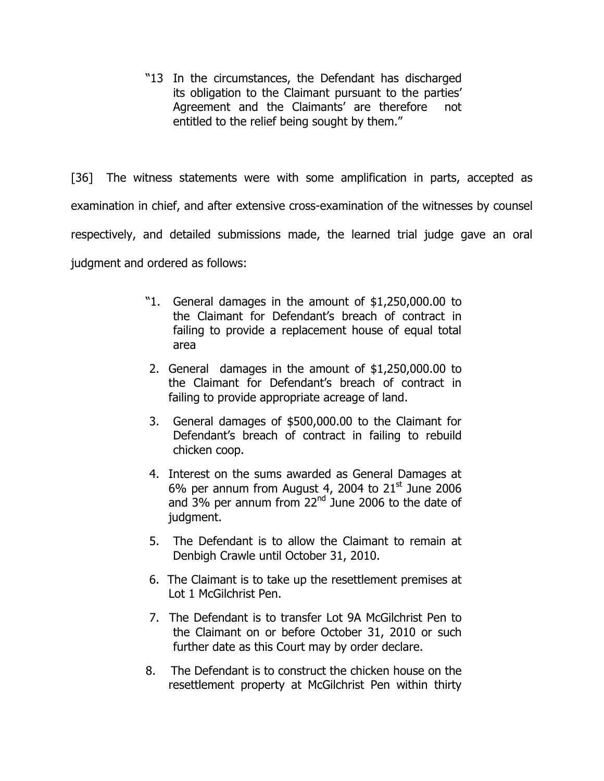"13 In the circumstances, the Defendant has discharged its obligation to the Claimant pursuant to the parties' Agreement and the Claimants' are therefore not entitled to the relief being sought by them."

[36] The witness statements were with some amplification in parts, accepted as examination in chief, and after extensive cross-examination of the witnesses by counsel respectively, and detailed submissions made, the learned trial judge gave an oral judgment and ordered as follows:

- "1. General damages in the amount of \$1,250,000.00 to the Claimant for Defendant's breach of contract in failing to provide a replacement house of equal total area
- 2. General damages in the amount of \$1,250,000.00 to the Claimant for Defendant's breach of contract in failing to provide appropriate acreage of land.
- 3. General damages of \$500,000.00 to the Claimant for Defendant's breach of contract in failing to rebuild chicken coop.
- 4. Interest on the sums awarded as General Damages at 6% per annum from August 4, 2004 to  $21<sup>st</sup>$  June 2006 and  $3\%$  per annum from  $22<sup>nd</sup>$  June 2006 to the date of judgment.
- 5. The Defendant is to allow the Claimant to remain at Denbigh Crawle until October 31, 2010.
- 6. The Claimant is to take up the resettlement premises at Lot 1 McGilchrist Pen.
- 7. The Defendant is to transfer Lot 9A McGilchrist Pen to the Claimant on or before October 31, 2010 or such further date as this Court may by order declare.
- 8. The Defendant is to construct the chicken house on the resettlement property at McGilchrist Pen within thirty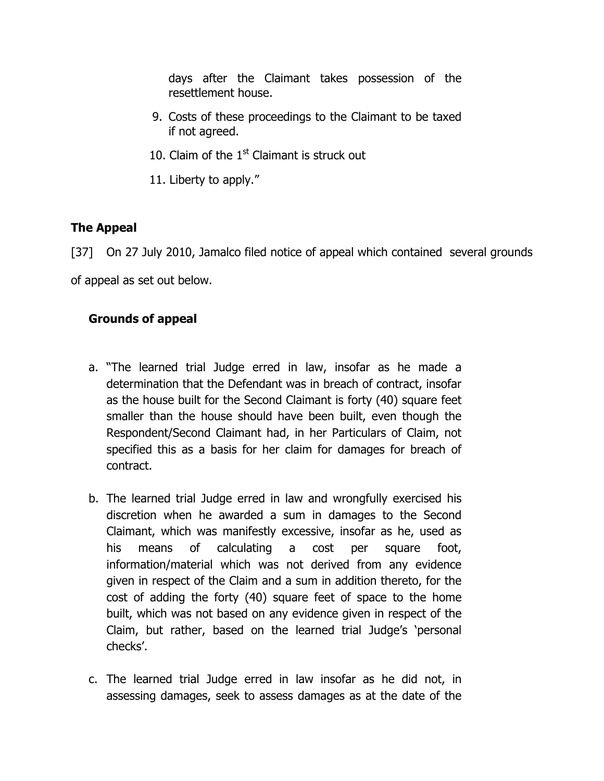days after the Claimant takes possession of the resettlement house.

- 9. Costs of these proceedings to the Claimant to be taxed if not agreed.
- 10. Claim of the  $1<sup>st</sup>$  Claimant is struck out
- 11. Liberty to apply."

# The Appeal

[37] On 27 July 2010, Jamalco filed notice of appeal which contained several grounds

of appeal as set out below.

# Grounds of appeal

- a. "The learned trial Judge erred in law, insofar as he made a determination that the Defendant was in breach of contract, insofar as the house built for the Second Claimant is forty (40) square feet smaller than the house should have been built, even though the Respondent/Second Claimant had, in her Particulars of Claim, not specified this as a basis for her claim for damages for breach of contract.
- b. The learned trial Judge erred in law and wrongfully exercised his discretion when he awarded a sum in damages to the Second Claimant, which was manifestly excessive, insofar as he, used as his means of calculating a cost per square foot, information/material which was not derived from any evidence given in respect of the Claim and a sum in addition thereto, for the cost of adding the forty (40) square feet of space to the home built, which was not based on any evidence given in respect of the Claim, but rather, based on the learned trial Judge's 'personal checks'.
- c. The learned trial Judge erred in law insofar as he did not, in assessing damages, seek to assess damages as at the date of the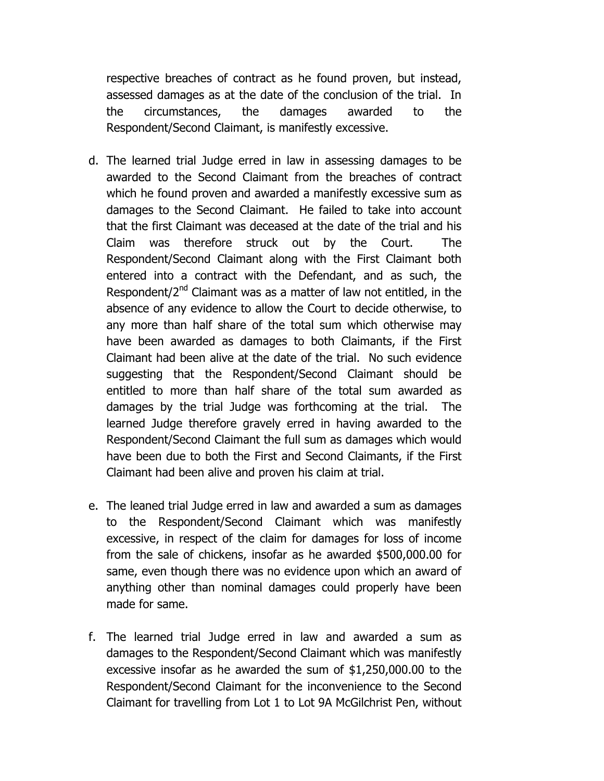respective breaches of contract as he found proven, but instead, assessed damages as at the date of the conclusion of the trial. In the circumstances, the damages awarded to the Respondent/Second Claimant, is manifestly excessive.

- d. The learned trial Judge erred in law in assessing damages to be awarded to the Second Claimant from the breaches of contract which he found proven and awarded a manifestly excessive sum as damages to the Second Claimant. He failed to take into account that the first Claimant was deceased at the date of the trial and his Claim was therefore struck out by the Court. The Respondent/Second Claimant along with the First Claimant both entered into a contract with the Defendant, and as such, the Respondent/2<sup>nd</sup> Claimant was as a matter of law not entitled, in the absence of any evidence to allow the Court to decide otherwise, to any more than half share of the total sum which otherwise may have been awarded as damages to both Claimants, if the First Claimant had been alive at the date of the trial. No such evidence suggesting that the Respondent/Second Claimant should be entitled to more than half share of the total sum awarded as damages by the trial Judge was forthcoming at the trial. The learned Judge therefore gravely erred in having awarded to the Respondent/Second Claimant the full sum as damages which would have been due to both the First and Second Claimants, if the First Claimant had been alive and proven his claim at trial.
- e. The leaned trial Judge erred in law and awarded a sum as damages to the Respondent/Second Claimant which was manifestly excessive, in respect of the claim for damages for loss of income from the sale of chickens, insofar as he awarded \$500,000.00 for same, even though there was no evidence upon which an award of anything other than nominal damages could properly have been made for same.
- f. The learned trial Judge erred in law and awarded a sum as damages to the Respondent/Second Claimant which was manifestly excessive insofar as he awarded the sum of \$1,250,000.00 to the Respondent/Second Claimant for the inconvenience to the Second Claimant for travelling from Lot 1 to Lot 9A McGilchrist Pen, without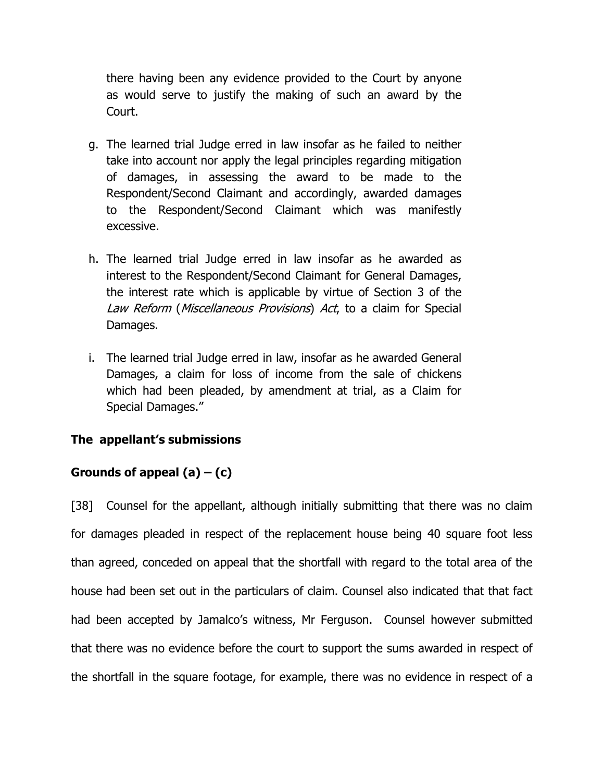there having been any evidence provided to the Court by anyone as would serve to justify the making of such an award by the Court.

- g. The learned trial Judge erred in law insofar as he failed to neither take into account nor apply the legal principles regarding mitigation of damages, in assessing the award to be made to the Respondent/Second Claimant and accordingly, awarded damages to the Respondent/Second Claimant which was manifestly excessive.
- h. The learned trial Judge erred in law insofar as he awarded as interest to the Respondent/Second Claimant for General Damages, the interest rate which is applicable by virtue of Section 3 of the Law Reform (Miscellaneous Provisions) Act, to a claim for Special Damages.
- i. The learned trial Judge erred in law, insofar as he awarded General Damages, a claim for loss of income from the sale of chickens which had been pleaded, by amendment at trial, as a Claim for Special Damages."

# The appellant's submissions

# Grounds of appeal  $(a) - (c)$

[38] Counsel for the appellant, although initially submitting that there was no claim for damages pleaded in respect of the replacement house being 40 square foot less than agreed, conceded on appeal that the shortfall with regard to the total area of the house had been set out in the particulars of claim. Counsel also indicated that that fact had been accepted by Jamalco's witness, Mr Ferguson. Counsel however submitted that there was no evidence before the court to support the sums awarded in respect of the shortfall in the square footage, for example, there was no evidence in respect of a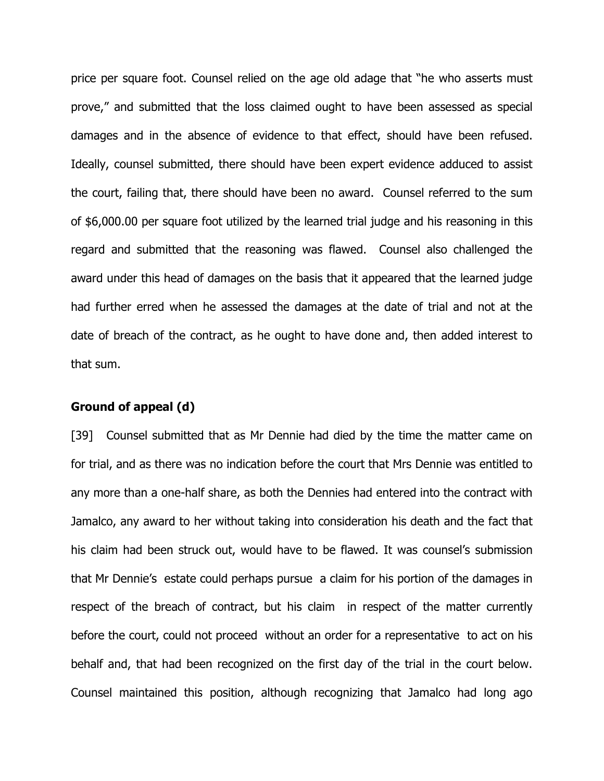price per square foot. Counsel relied on the age old adage that "he who asserts must prove," and submitted that the loss claimed ought to have been assessed as special damages and in the absence of evidence to that effect, should have been refused. Ideally, counsel submitted, there should have been expert evidence adduced to assist the court, failing that, there should have been no award. Counsel referred to the sum of \$6,000.00 per square foot utilized by the learned trial judge and his reasoning in this regard and submitted that the reasoning was flawed. Counsel also challenged the award under this head of damages on the basis that it appeared that the learned judge had further erred when he assessed the damages at the date of trial and not at the date of breach of the contract, as he ought to have done and, then added interest to that sum.

#### Ground of appeal (d)

[39] Counsel submitted that as Mr Dennie had died by the time the matter came on for trial, and as there was no indication before the court that Mrs Dennie was entitled to any more than a one-half share, as both the Dennies had entered into the contract with Jamalco, any award to her without taking into consideration his death and the fact that his claim had been struck out, would have to be flawed. It was counsel's submission that Mr Dennie's estate could perhaps pursue a claim for his portion of the damages in respect of the breach of contract, but his claim in respect of the matter currently before the court, could not proceed without an order for a representative to act on his behalf and, that had been recognized on the first day of the trial in the court below. Counsel maintained this position, although recognizing that Jamalco had long ago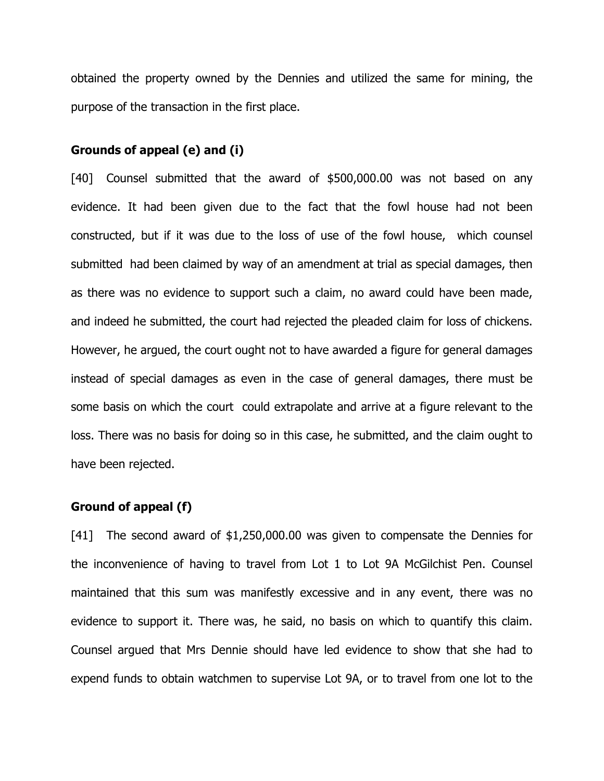obtained the property owned by the Dennies and utilized the same for mining, the purpose of the transaction in the first place.

#### Grounds of appeal (e) and (i)

[40] Counsel submitted that the award of \$500,000.00 was not based on any evidence. It had been given due to the fact that the fowl house had not been constructed, but if it was due to the loss of use of the fowl house, which counsel submitted had been claimed by way of an amendment at trial as special damages, then as there was no evidence to support such a claim, no award could have been made, and indeed he submitted, the court had rejected the pleaded claim for loss of chickens. However, he argued, the court ought not to have awarded a figure for general damages instead of special damages as even in the case of general damages, there must be some basis on which the court could extrapolate and arrive at a figure relevant to the loss. There was no basis for doing so in this case, he submitted, and the claim ought to have been rejected.

#### Ground of appeal (f)

[41] The second award of \$1,250,000.00 was given to compensate the Dennies for the inconvenience of having to travel from Lot 1 to Lot 9A McGilchist Pen. Counsel maintained that this sum was manifestly excessive and in any event, there was no evidence to support it. There was, he said, no basis on which to quantify this claim. Counsel argued that Mrs Dennie should have led evidence to show that she had to expend funds to obtain watchmen to supervise Lot 9A, or to travel from one lot to the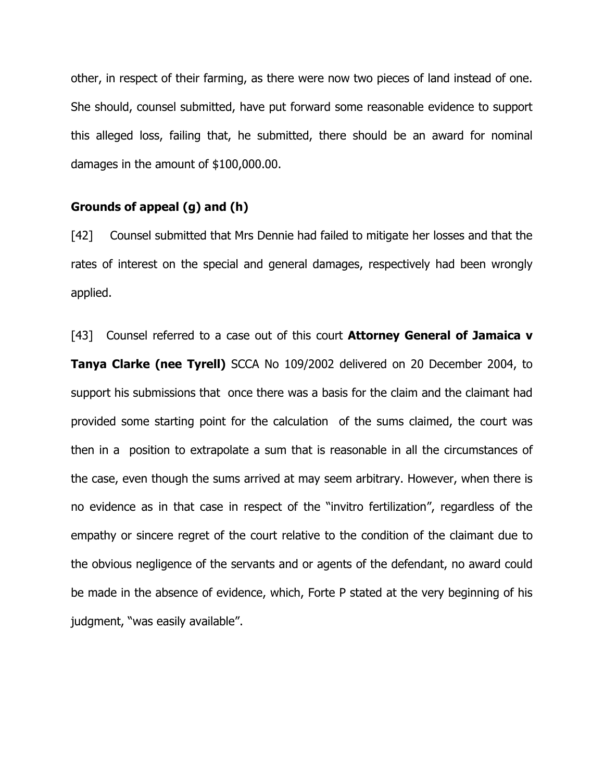other, in respect of their farming, as there were now two pieces of land instead of one. She should, counsel submitted, have put forward some reasonable evidence to support this alleged loss, failing that, he submitted, there should be an award for nominal damages in the amount of \$100,000.00.

#### Grounds of appeal (g) and (h)

[42] Counsel submitted that Mrs Dennie had failed to mitigate her losses and that the rates of interest on the special and general damages, respectively had been wrongly applied.

[43] Counsel referred to a case out of this court **Attorney General of Jamaica v** Tanya Clarke (nee Tyrell) SCCA No 109/2002 delivered on 20 December 2004, to support his submissions that once there was a basis for the claim and the claimant had provided some starting point for the calculation of the sums claimed, the court was then in a position to extrapolate a sum that is reasonable in all the circumstances of the case, even though the sums arrived at may seem arbitrary. However, when there is no evidence as in that case in respect of the "invitro fertilization", regardless of the empathy or sincere regret of the court relative to the condition of the claimant due to the obvious negligence of the servants and or agents of the defendant, no award could be made in the absence of evidence, which, Forte P stated at the very beginning of his judgment, "was easily available".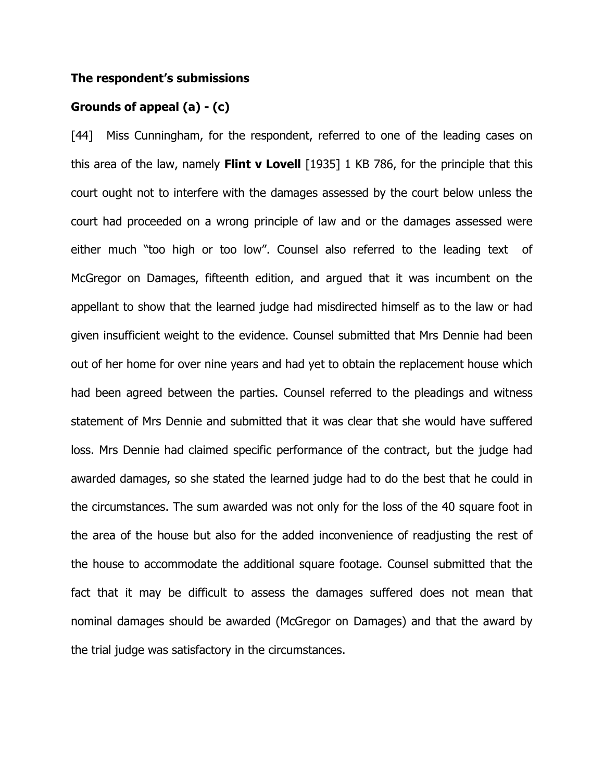#### The respondent's submissions

#### Grounds of appeal (a) - (c)

[44] Miss Cunningham, for the respondent, referred to one of the leading cases on this area of the law, namely Flint v Lovell  $[1935]$  1 KB 786, for the principle that this court ought not to interfere with the damages assessed by the court below unless the court had proceeded on a wrong principle of law and or the damages assessed were either much "too high or too low". Counsel also referred to the leading text of McGregor on Damages, fifteenth edition, and argued that it was incumbent on the appellant to show that the learned judge had misdirected himself as to the law or had given insufficient weight to the evidence. Counsel submitted that Mrs Dennie had been out of her home for over nine years and had yet to obtain the replacement house which had been agreed between the parties. Counsel referred to the pleadings and witness statement of Mrs Dennie and submitted that it was clear that she would have suffered loss. Mrs Dennie had claimed specific performance of the contract, but the judge had awarded damages, so she stated the learned judge had to do the best that he could in the circumstances. The sum awarded was not only for the loss of the 40 square foot in the area of the house but also for the added inconvenience of readjusting the rest of the house to accommodate the additional square footage. Counsel submitted that the fact that it may be difficult to assess the damages suffered does not mean that nominal damages should be awarded (McGregor on Damages) and that the award by the trial judge was satisfactory in the circumstances.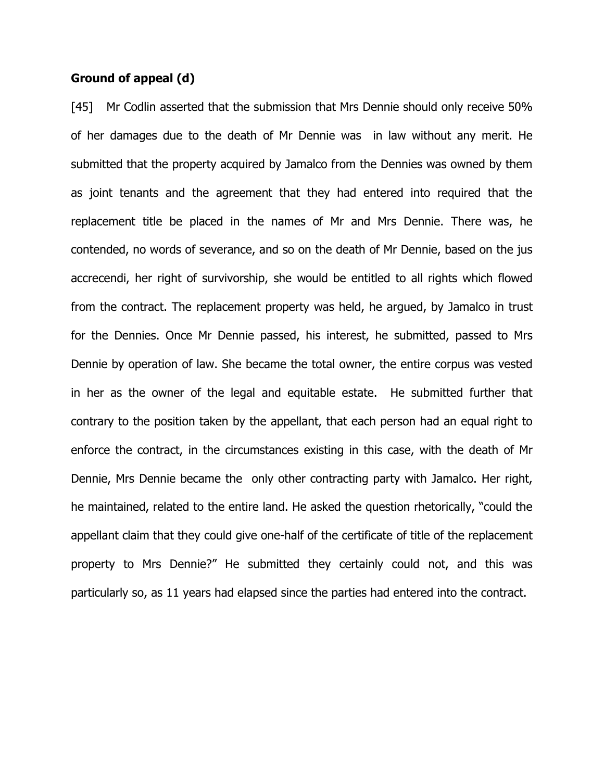#### Ground of appeal (d)

[45] Mr Codlin asserted that the submission that Mrs Dennie should only receive 50% of her damages due to the death of Mr Dennie was in law without any merit. He submitted that the property acquired by Jamalco from the Dennies was owned by them as joint tenants and the agreement that they had entered into required that the replacement title be placed in the names of Mr and Mrs Dennie. There was, he contended, no words of severance, and so on the death of Mr Dennie, based on the jus accrecendi, her right of survivorship, she would be entitled to all rights which flowed from the contract. The replacement property was held, he argued, by Jamalco in trust for the Dennies. Once Mr Dennie passed, his interest, he submitted, passed to Mrs Dennie by operation of law. She became the total owner, the entire corpus was vested in her as the owner of the legal and equitable estate. He submitted further that contrary to the position taken by the appellant, that each person had an equal right to enforce the contract, in the circumstances existing in this case, with the death of Mr Dennie, Mrs Dennie became the only other contracting party with Jamalco. Her right, he maintained, related to the entire land. He asked the question rhetorically, "could the appellant claim that they could give one-half of the certificate of title of the replacement property to Mrs Dennie?" He submitted they certainly could not, and this was particularly so, as 11 years had elapsed since the parties had entered into the contract.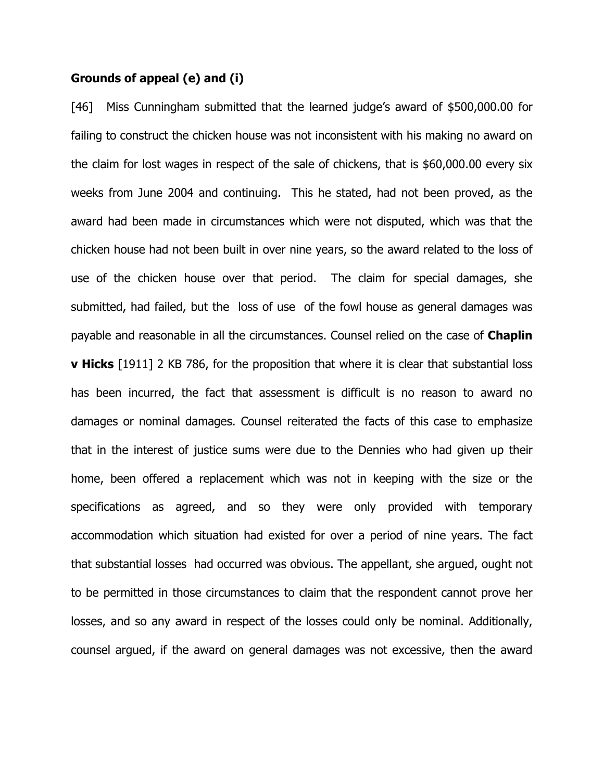#### Grounds of appeal (e) and (i)

[46] Miss Cunningham submitted that the learned judge's award of \$500,000.00 for failing to construct the chicken house was not inconsistent with his making no award on the claim for lost wages in respect of the sale of chickens, that is \$60,000.00 every six weeks from June 2004 and continuing. This he stated, had not been proved, as the award had been made in circumstances which were not disputed, which was that the chicken house had not been built in over nine years, so the award related to the loss of use of the chicken house over that period. The claim for special damages, she submitted, had failed, but the loss of use of the fowl house as general damages was payable and reasonable in all the circumstances. Counsel relied on the case of **Chaplin v Hicks** [1911] 2 KB 786, for the proposition that where it is clear that substantial loss has been incurred, the fact that assessment is difficult is no reason to award no damages or nominal damages. Counsel reiterated the facts of this case to emphasize that in the interest of justice sums were due to the Dennies who had given up their home, been offered a replacement which was not in keeping with the size or the specifications as agreed, and so they were only provided with temporary accommodation which situation had existed for over a period of nine years. The fact that substantial losses had occurred was obvious. The appellant, she argued, ought not to be permitted in those circumstances to claim that the respondent cannot prove her losses, and so any award in respect of the losses could only be nominal. Additionally, counsel argued, if the award on general damages was not excessive, then the award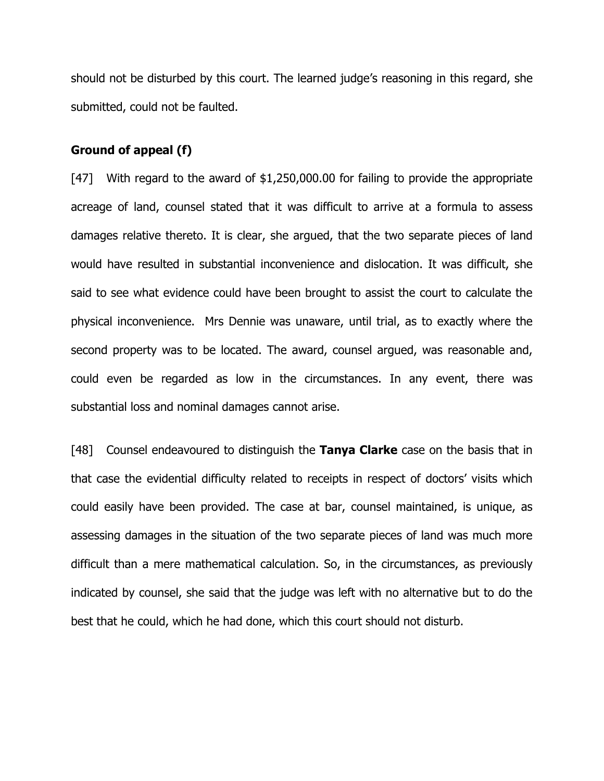should not be disturbed by this court. The learned judge's reasoning in this regard, she submitted, could not be faulted.

#### Ground of appeal (f)

[47] With regard to the award of \$1,250,000.00 for failing to provide the appropriate acreage of land, counsel stated that it was difficult to arrive at a formula to assess damages relative thereto. It is clear, she argued, that the two separate pieces of land would have resulted in substantial inconvenience and dislocation. It was difficult, she said to see what evidence could have been brought to assist the court to calculate the physical inconvenience. Mrs Dennie was unaware, until trial, as to exactly where the second property was to be located. The award, counsel argued, was reasonable and, could even be regarded as low in the circumstances. In any event, there was substantial loss and nominal damages cannot arise.

[48] Counsel endeavoured to distinguish the Tanya Clarke case on the basis that in that case the evidential difficulty related to receipts in respect of doctors' visits which could easily have been provided. The case at bar, counsel maintained, is unique, as assessing damages in the situation of the two separate pieces of land was much more difficult than a mere mathematical calculation. So, in the circumstances, as previously indicated by counsel, she said that the judge was left with no alternative but to do the best that he could, which he had done, which this court should not disturb.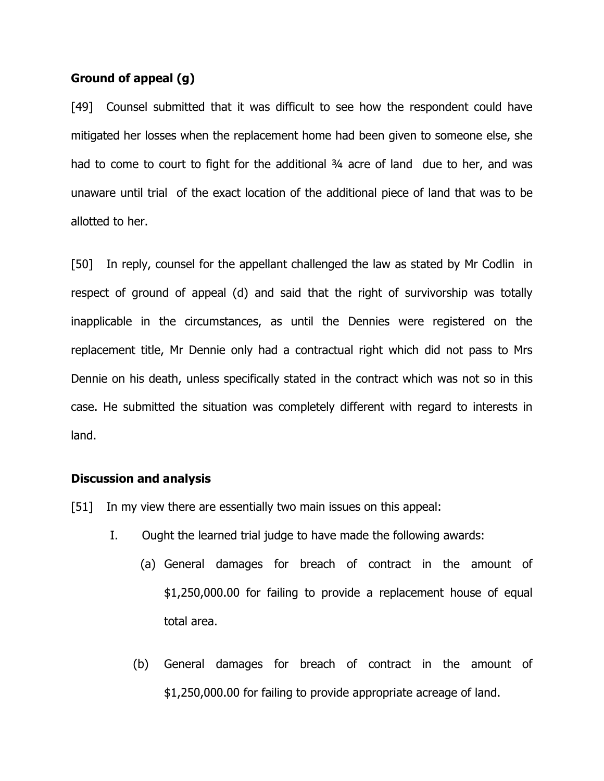### Ground of appeal (g)

[49] Counsel submitted that it was difficult to see how the respondent could have mitigated her losses when the replacement home had been given to someone else, she had to come to court to fight for the additional 34 acre of land due to her, and was unaware until trial of the exact location of the additional piece of land that was to be allotted to her.

[50] In reply, counsel for the appellant challenged the law as stated by Mr Codlin in respect of ground of appeal (d) and said that the right of survivorship was totally inapplicable in the circumstances, as until the Dennies were registered on the replacement title, Mr Dennie only had a contractual right which did not pass to Mrs Dennie on his death, unless specifically stated in the contract which was not so in this case. He submitted the situation was completely different with regard to interests in land.

#### Discussion and analysis

[51] In my view there are essentially two main issues on this appeal:

- I. Ought the learned trial judge to have made the following awards:
	- (a) General damages for breach of contract in the amount of \$1,250,000.00 for failing to provide a replacement house of equal total area.
	- (b) General damages for breach of contract in the amount of \$1,250,000.00 for failing to provide appropriate acreage of land.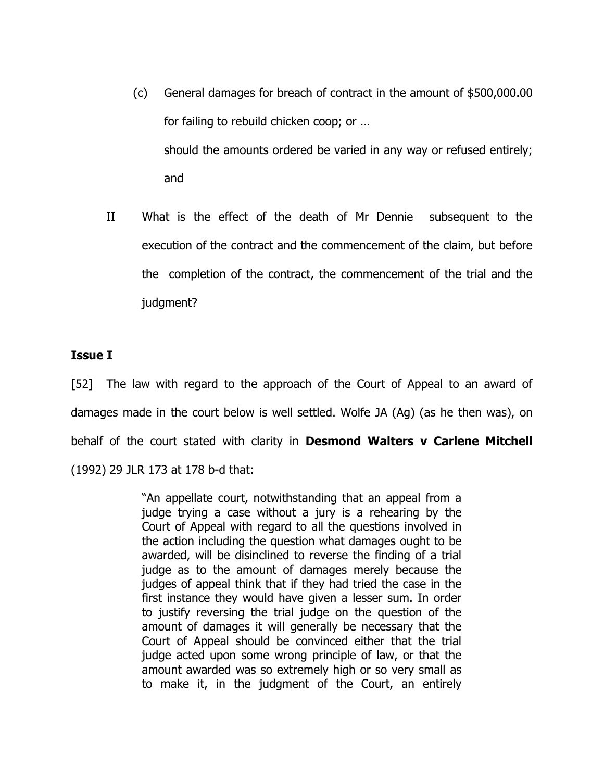- (c) General damages for breach of contract in the amount of \$500,000.00 for failing to rebuild chicken coop; or … should the amounts ordered be varied in any way or refused entirely; and
- II What is the effect of the death of Mr Dennie subsequent to the execution of the contract and the commencement of the claim, but before the completion of the contract, the commencement of the trial and the judgment?

#### Issue I

[52] The law with regard to the approach of the Court of Appeal to an award of damages made in the court below is well settled. Wolfe JA (Ag) (as he then was), on behalf of the court stated with clarity in **Desmond Walters v Carlene Mitchell** (1992) 29 JLR 173 at 178 b-d that:

> "An appellate court, notwithstanding that an appeal from a judge trying a case without a jury is a rehearing by the Court of Appeal with regard to all the questions involved in the action including the question what damages ought to be awarded, will be disinclined to reverse the finding of a trial judge as to the amount of damages merely because the judges of appeal think that if they had tried the case in the first instance they would have given a lesser sum. In order to justify reversing the trial judge on the question of the amount of damages it will generally be necessary that the Court of Appeal should be convinced either that the trial judge acted upon some wrong principle of law, or that the amount awarded was so extremely high or so very small as to make it, in the judgment of the Court, an entirely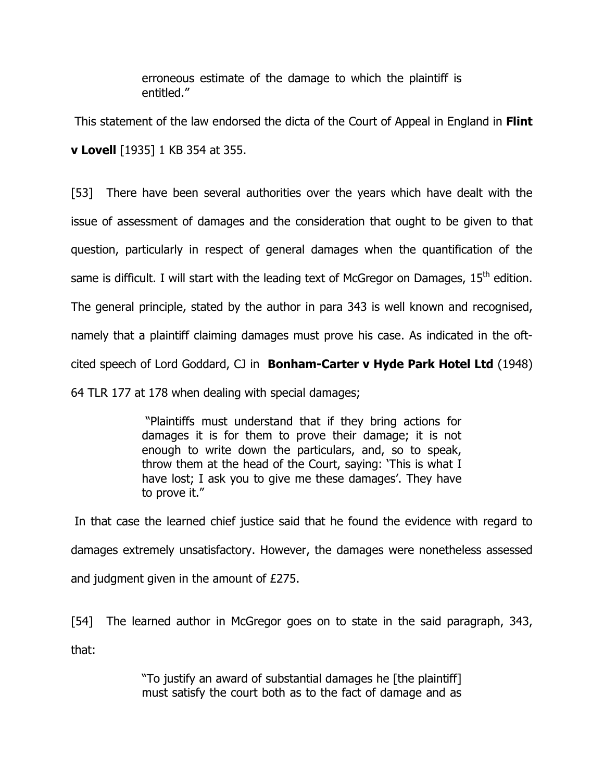erroneous estimate of the damage to which the plaintiff is entitled."

This statement of the law endorsed the dicta of the Court of Appeal in England in Flint v Lovell [1935] 1 KB 354 at 355.

[53] There have been several authorities over the years which have dealt with the issue of assessment of damages and the consideration that ought to be given to that question, particularly in respect of general damages when the quantification of the same is difficult. I will start with the leading text of McGregor on Damages, 15<sup>th</sup> edition. The general principle, stated by the author in para 343 is well known and recognised, namely that a plaintiff claiming damages must prove his case. As indicated in the oftcited speech of Lord Goddard, CJ in **Bonham-Carter v Hyde Park Hotel Ltd** (1948) 64 TLR 177 at 178 when dealing with special damages;

> "Plaintiffs must understand that if they bring actions for damages it is for them to prove their damage; it is not enough to write down the particulars, and, so to speak, throw them at the head of the Court, saying: 'This is what I have lost; I ask you to give me these damages'. They have to prove it."

 In that case the learned chief justice said that he found the evidence with regard to damages extremely unsatisfactory. However, the damages were nonetheless assessed and judgment given in the amount of £275.

[54] The learned author in McGregor goes on to state in the said paragraph, 343, that:

> "To justify an award of substantial damages he [the plaintiff] must satisfy the court both as to the fact of damage and as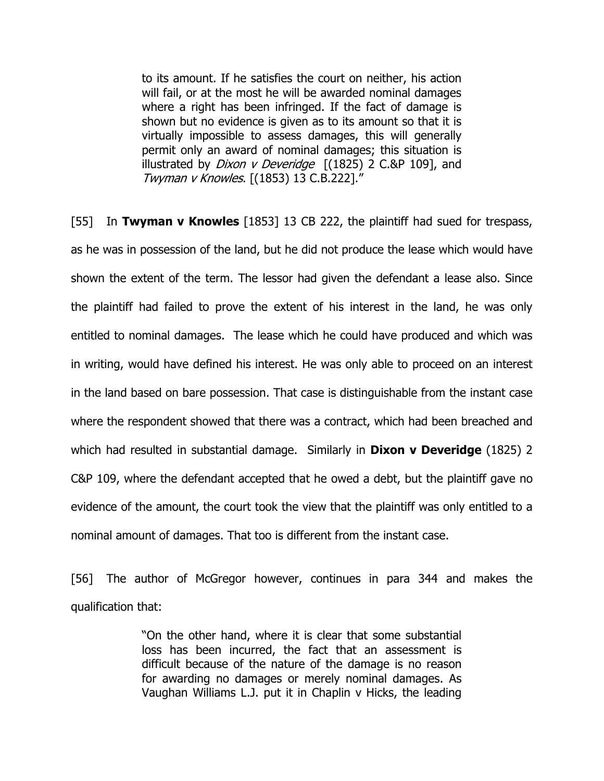to its amount. If he satisfies the court on neither, his action will fail, or at the most he will be awarded nominal damages where a right has been infringed. If the fact of damage is shown but no evidence is given as to its amount so that it is virtually impossible to assess damages, this will generally permit only an award of nominal damages; this situation is illustrated by *Dixon v Deveridge*  $[(1825)$  2 C.&P 109], and Twyman v Knowles. [(1853) 13 C.B.222]."

[55] In Twyman v Knowles [1853] 13 CB 222, the plaintiff had sued for trespass, as he was in possession of the land, but he did not produce the lease which would have shown the extent of the term. The lessor had given the defendant a lease also. Since the plaintiff had failed to prove the extent of his interest in the land, he was only entitled to nominal damages. The lease which he could have produced and which was in writing, would have defined his interest. He was only able to proceed on an interest in the land based on bare possession. That case is distinguishable from the instant case where the respondent showed that there was a contract, which had been breached and which had resulted in substantial damage. Similarly in **Dixon v Deveridge** (1825) 2 C&P 109, where the defendant accepted that he owed a debt, but the plaintiff gave no evidence of the amount, the court took the view that the plaintiff was only entitled to a nominal amount of damages. That too is different from the instant case.

[56] The author of McGregor however, continues in para 344 and makes the qualification that:

> "On the other hand, where it is clear that some substantial loss has been incurred, the fact that an assessment is difficult because of the nature of the damage is no reason for awarding no damages or merely nominal damages. As Vaughan Williams L.J. put it in Chaplin v Hicks, the leading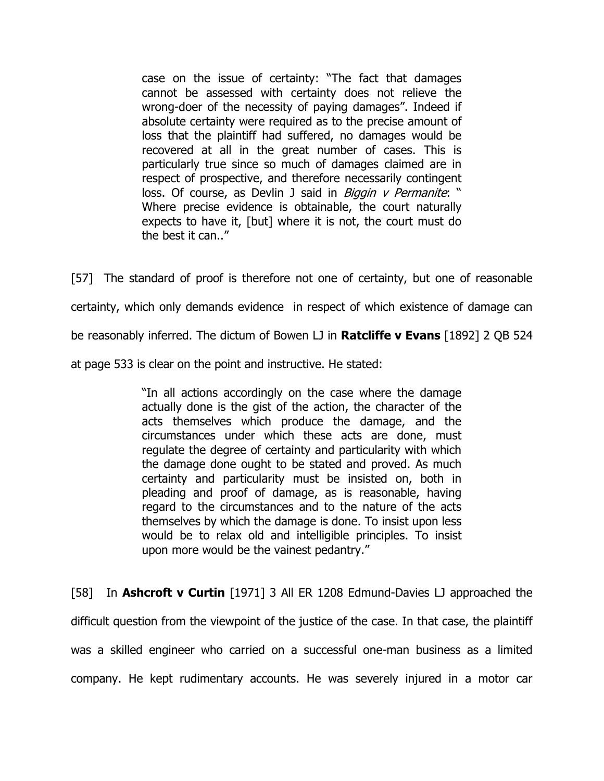case on the issue of certainty: "The fact that damages cannot be assessed with certainty does not relieve the wrong-doer of the necessity of paying damages". Indeed if absolute certainty were required as to the precise amount of loss that the plaintiff had suffered, no damages would be recovered at all in the great number of cases. This is particularly true since so much of damages claimed are in respect of prospective, and therefore necessarily contingent loss. Of course, as Devlin J said in Biggin v Permanite: " Where precise evidence is obtainable, the court naturally expects to have it, [but] where it is not, the court must do the best it can..."

[57] The standard of proof is therefore not one of certainty, but one of reasonable certainty, which only demands evidence in respect of which existence of damage can be reasonably inferred. The dictum of Bowen LJ in **Ratcliffe v Evans** [1892] 2 QB 524 at page 533 is clear on the point and instructive. He stated:

> "In all actions accordingly on the case where the damage actually done is the gist of the action, the character of the acts themselves which produce the damage, and the circumstances under which these acts are done, must regulate the degree of certainty and particularity with which the damage done ought to be stated and proved. As much certainty and particularity must be insisted on, both in pleading and proof of damage, as is reasonable, having regard to the circumstances and to the nature of the acts themselves by which the damage is done. To insist upon less would be to relax old and intelligible principles. To insist upon more would be the vainest pedantry."

[58] In **Ashcroft v Curtin** [1971] 3 All ER 1208 Edmund-Davies LJ approached the difficult question from the viewpoint of the justice of the case. In that case, the plaintiff was a skilled engineer who carried on a successful one-man business as a limited company. He kept rudimentary accounts. He was severely injured in a motor car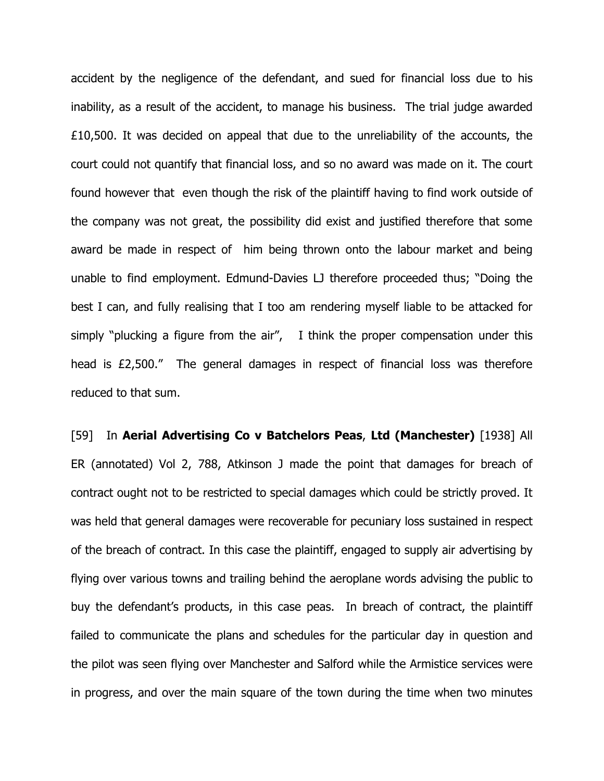accident by the negligence of the defendant, and sued for financial loss due to his inability, as a result of the accident, to manage his business. The trial judge awarded £10,500. It was decided on appeal that due to the unreliability of the accounts, the court could not quantify that financial loss, and so no award was made on it. The court found however that even though the risk of the plaintiff having to find work outside of the company was not great, the possibility did exist and justified therefore that some award be made in respect of him being thrown onto the labour market and being unable to find employment. Edmund-Davies LJ therefore proceeded thus; "Doing the best I can, and fully realising that I too am rendering myself liable to be attacked for simply "plucking a figure from the air", I think the proper compensation under this head is £2,500." The general damages in respect of financial loss was therefore reduced to that sum.

[59] In Aerial Advertising Co v Batchelors Peas, Ltd (Manchester) [1938] All ER (annotated) Vol 2, 788, Atkinson J made the point that damages for breach of contract ought not to be restricted to special damages which could be strictly proved. It was held that general damages were recoverable for pecuniary loss sustained in respect of the breach of contract. In this case the plaintiff, engaged to supply air advertising by flying over various towns and trailing behind the aeroplane words advising the public to buy the defendant's products, in this case peas. In breach of contract, the plaintiff failed to communicate the plans and schedules for the particular day in question and the pilot was seen flying over Manchester and Salford while the Armistice services were in progress, and over the main square of the town during the time when two minutes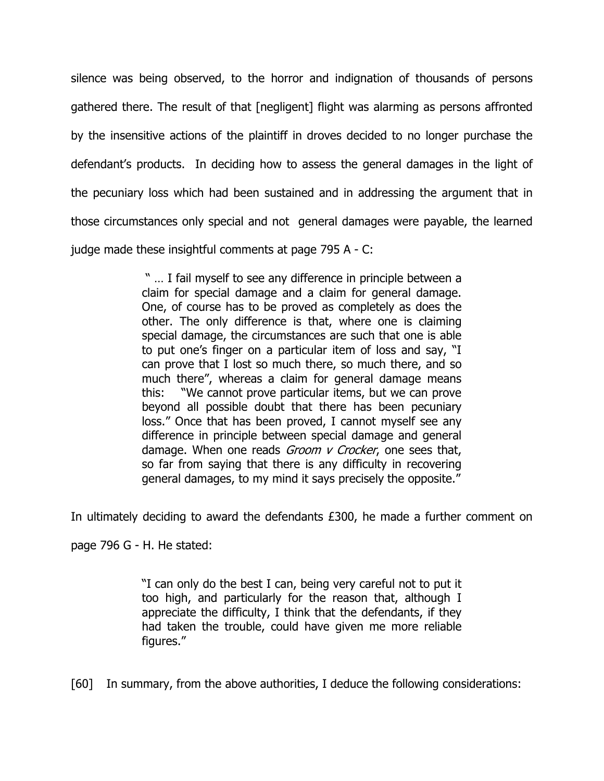silence was being observed, to the horror and indignation of thousands of persons gathered there. The result of that [negligent] flight was alarming as persons affronted by the insensitive actions of the plaintiff in droves decided to no longer purchase the defendant's products. In deciding how to assess the general damages in the light of the pecuniary loss which had been sustained and in addressing the argument that in those circumstances only special and not general damages were payable, the learned judge made these insightful comments at page 795 A - C:

> " … I fail myself to see any difference in principle between a claim for special damage and a claim for general damage. One, of course has to be proved as completely as does the other. The only difference is that, where one is claiming special damage, the circumstances are such that one is able to put one's finger on a particular item of loss and say, "I can prove that I lost so much there, so much there, and so much there", whereas a claim for general damage means this: "We cannot prove particular items, but we can prove beyond all possible doubt that there has been pecuniary loss." Once that has been proved, I cannot myself see any difference in principle between special damage and general damage. When one reads *Groom v Crocker*, one sees that, so far from saying that there is any difficulty in recovering general damages, to my mind it says precisely the opposite."

In ultimately deciding to award the defendants £300, he made a further comment on

page 796 G - H. He stated:

"I can only do the best I can, being very careful not to put it too high, and particularly for the reason that, although I appreciate the difficulty, I think that the defendants, if they had taken the trouble, could have given me more reliable figures."

[60] In summary, from the above authorities, I deduce the following considerations: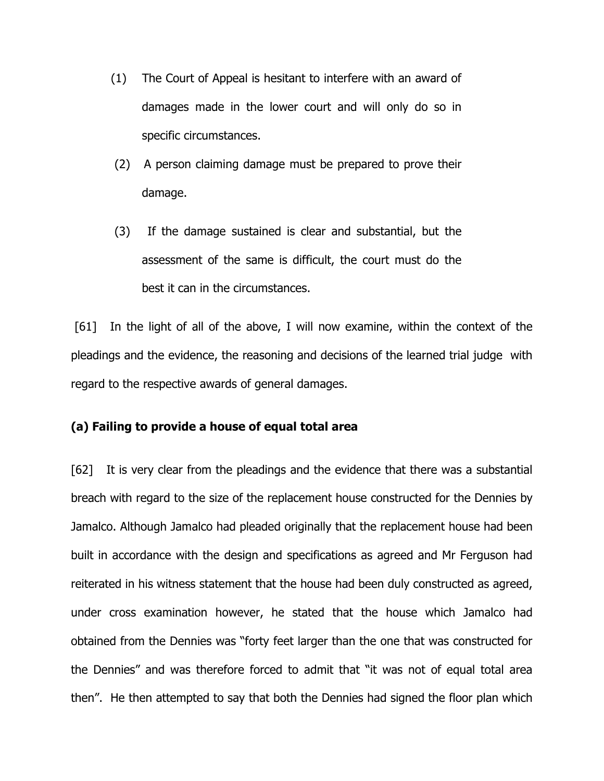- (1) The Court of Appeal is hesitant to interfere with an award of damages made in the lower court and will only do so in specific circumstances.
- (2) A person claiming damage must be prepared to prove their damage.
- (3) If the damage sustained is clear and substantial, but the assessment of the same is difficult, the court must do the best it can in the circumstances.

 [61] In the light of all of the above, I will now examine, within the context of the pleadings and the evidence, the reasoning and decisions of the learned trial judge with regard to the respective awards of general damages.

## (a) Failing to provide a house of equal total area

[62] It is very clear from the pleadings and the evidence that there was a substantial breach with regard to the size of the replacement house constructed for the Dennies by Jamalco. Although Jamalco had pleaded originally that the replacement house had been built in accordance with the design and specifications as agreed and Mr Ferguson had reiterated in his witness statement that the house had been duly constructed as agreed, under cross examination however, he stated that the house which Jamalco had obtained from the Dennies was "forty feet larger than the one that was constructed for the Dennies" and was therefore forced to admit that "it was not of equal total area then". He then attempted to say that both the Dennies had signed the floor plan which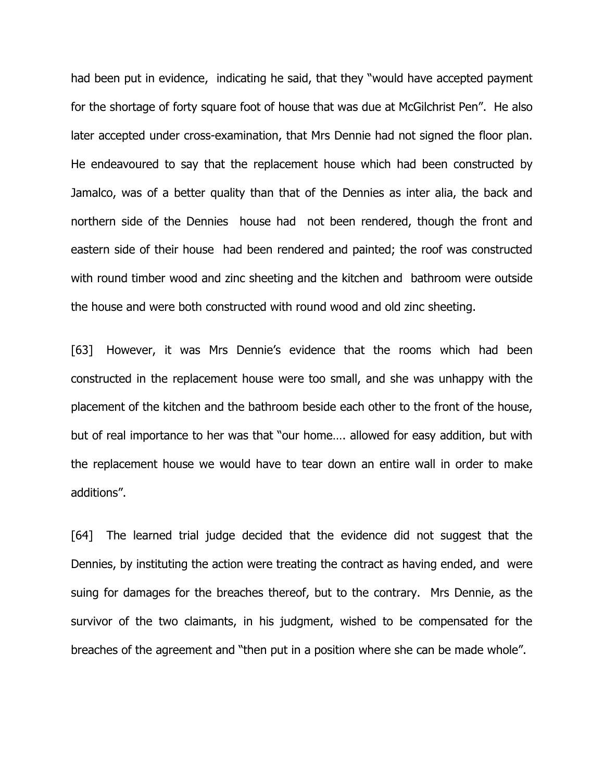had been put in evidence, indicating he said, that they "would have accepted payment for the shortage of forty square foot of house that was due at McGilchrist Pen". He also later accepted under cross-examination, that Mrs Dennie had not signed the floor plan. He endeavoured to say that the replacement house which had been constructed by Jamalco, was of a better quality than that of the Dennies as inter alia, the back and northern side of the Dennies house had not been rendered, though the front and eastern side of their house had been rendered and painted; the roof was constructed with round timber wood and zinc sheeting and the kitchen and bathroom were outside the house and were both constructed with round wood and old zinc sheeting.

[63] However, it was Mrs Dennie's evidence that the rooms which had been constructed in the replacement house were too small, and she was unhappy with the placement of the kitchen and the bathroom beside each other to the front of the house, but of real importance to her was that "our home…. allowed for easy addition, but with the replacement house we would have to tear down an entire wall in order to make additions".

[64] The learned trial judge decided that the evidence did not suggest that the Dennies, by instituting the action were treating the contract as having ended, and were suing for damages for the breaches thereof, but to the contrary. Mrs Dennie, as the survivor of the two claimants, in his judgment, wished to be compensated for the breaches of the agreement and "then put in a position where she can be made whole".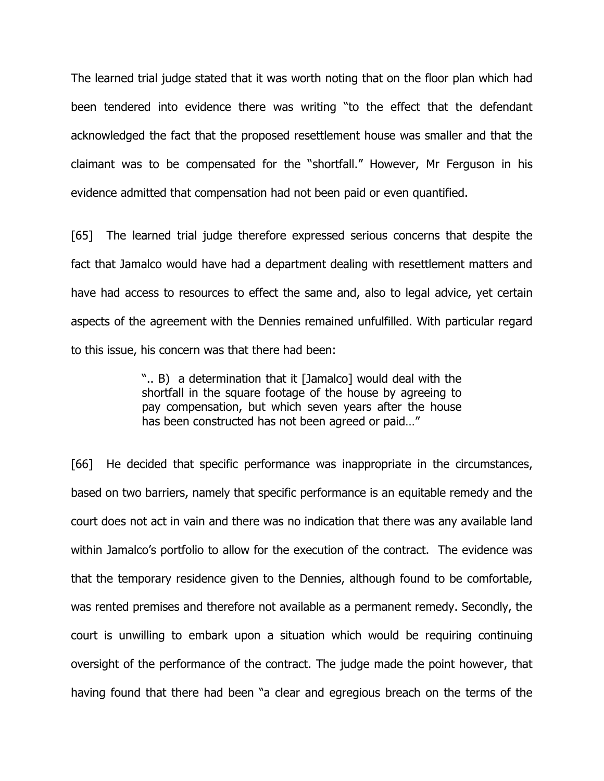The learned trial judge stated that it was worth noting that on the floor plan which had been tendered into evidence there was writing "to the effect that the defendant acknowledged the fact that the proposed resettlement house was smaller and that the claimant was to be compensated for the "shortfall." However, Mr Ferguson in his evidence admitted that compensation had not been paid or even quantified.

[65] The learned trial judge therefore expressed serious concerns that despite the fact that Jamalco would have had a department dealing with resettlement matters and have had access to resources to effect the same and, also to legal advice, yet certain aspects of the agreement with the Dennies remained unfulfilled. With particular regard to this issue, his concern was that there had been:

> ".. B) a determination that it [Jamalco] would deal with the shortfall in the square footage of the house by agreeing to pay compensation, but which seven years after the house has been constructed has not been agreed or paid…"

[66] He decided that specific performance was inappropriate in the circumstances, based on two barriers, namely that specific performance is an equitable remedy and the court does not act in vain and there was no indication that there was any available land within Jamalco's portfolio to allow for the execution of the contract. The evidence was that the temporary residence given to the Dennies, although found to be comfortable, was rented premises and therefore not available as a permanent remedy. Secondly, the court is unwilling to embark upon a situation which would be requiring continuing oversight of the performance of the contract. The judge made the point however, that having found that there had been "a clear and egregious breach on the terms of the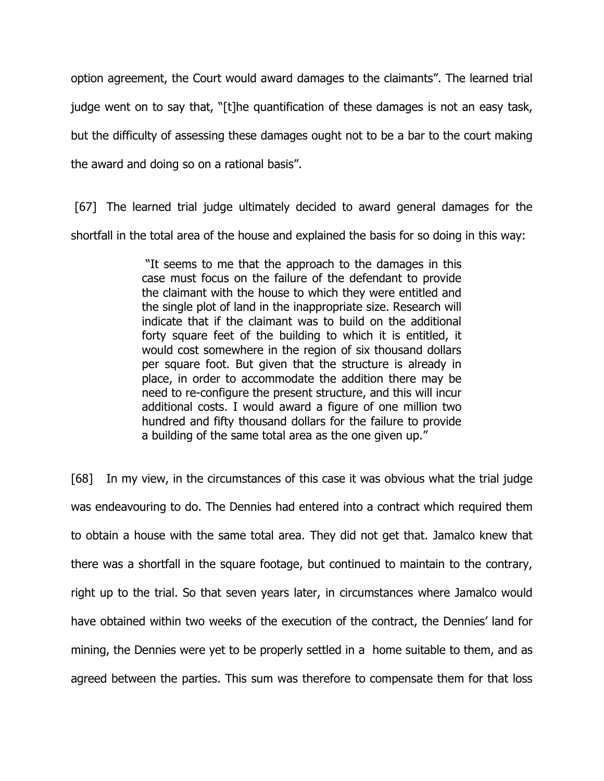option agreement, the Court would award damages to the claimants". The learned trial judge went on to say that, "[t]he quantification of these damages is not an easy task, but the difficulty of assessing these damages ought not to be a bar to the court making the award and doing so on a rational basis".

 [67] The learned trial judge ultimately decided to award general damages for the shortfall in the total area of the house and explained the basis for so doing in this way:

> "It seems to me that the approach to the damages in this case must focus on the failure of the defendant to provide the claimant with the house to which they were entitled and the single plot of land in the inappropriate size. Research will indicate that if the claimant was to build on the additional forty square feet of the building to which it is entitled, it would cost somewhere in the region of six thousand dollars per square foot. But given that the structure is already in place, in order to accommodate the addition there may be need to re-configure the present structure, and this will incur additional costs. I would award a figure of one million two hundred and fifty thousand dollars for the failure to provide a building of the same total area as the one given up."

[68] In my view, in the circumstances of this case it was obvious what the trial judge was endeavouring to do. The Dennies had entered into a contract which required them to obtain a house with the same total area. They did not get that. Jamalco knew that there was a shortfall in the square footage, but continued to maintain to the contrary, right up to the trial. So that seven years later, in circumstances where Jamalco would have obtained within two weeks of the execution of the contract, the Dennies' land for mining, the Dennies were yet to be properly settled in a home suitable to them, and as agreed between the parties. This sum was therefore to compensate them for that loss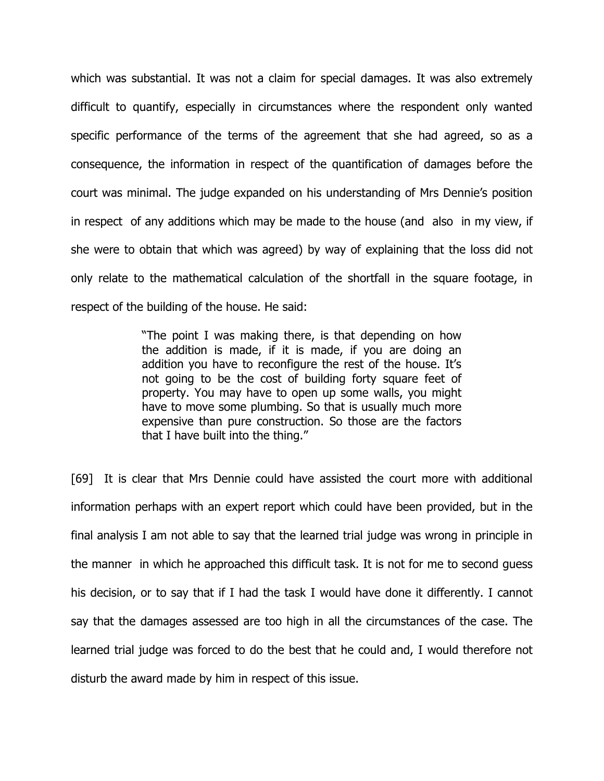which was substantial. It was not a claim for special damages. It was also extremely difficult to quantify, especially in circumstances where the respondent only wanted specific performance of the terms of the agreement that she had agreed, so as a consequence, the information in respect of the quantification of damages before the court was minimal. The judge expanded on his understanding of Mrs Dennie's position in respect of any additions which may be made to the house (and also in my view, if she were to obtain that which was agreed) by way of explaining that the loss did not only relate to the mathematical calculation of the shortfall in the square footage, in respect of the building of the house. He said:

> "The point I was making there, is that depending on how the addition is made, if it is made, if you are doing an addition you have to reconfigure the rest of the house. It's not going to be the cost of building forty square feet of property. You may have to open up some walls, you might have to move some plumbing. So that is usually much more expensive than pure construction. So those are the factors that I have built into the thing."

[69] It is clear that Mrs Dennie could have assisted the court more with additional information perhaps with an expert report which could have been provided, but in the final analysis I am not able to say that the learned trial judge was wrong in principle in the manner in which he approached this difficult task. It is not for me to second guess his decision, or to say that if I had the task I would have done it differently. I cannot say that the damages assessed are too high in all the circumstances of the case. The learned trial judge was forced to do the best that he could and, I would therefore not disturb the award made by him in respect of this issue.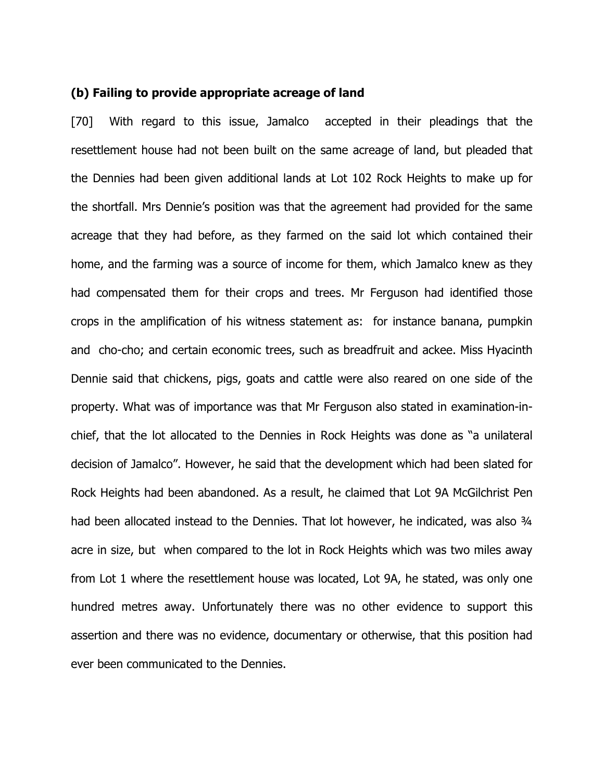#### (b) Failing to provide appropriate acreage of land

[70] With regard to this issue, Jamalco accepted in their pleadings that the resettlement house had not been built on the same acreage of land, but pleaded that the Dennies had been given additional lands at Lot 102 Rock Heights to make up for the shortfall. Mrs Dennie's position was that the agreement had provided for the same acreage that they had before, as they farmed on the said lot which contained their home, and the farming was a source of income for them, which Jamalco knew as they had compensated them for their crops and trees. Mr Ferguson had identified those crops in the amplification of his witness statement as: for instance banana, pumpkin and cho-cho; and certain economic trees, such as breadfruit and ackee. Miss Hyacinth Dennie said that chickens, pigs, goats and cattle were also reared on one side of the property. What was of importance was that Mr Ferguson also stated in examination-inchief, that the lot allocated to the Dennies in Rock Heights was done as "a unilateral decision of Jamalco". However, he said that the development which had been slated for Rock Heights had been abandoned. As a result, he claimed that Lot 9A McGilchrist Pen had been allocated instead to the Dennies. That lot however, he indicated, was also 3/4 acre in size, but when compared to the lot in Rock Heights which was two miles away from Lot 1 where the resettlement house was located, Lot 9A, he stated, was only one hundred metres away. Unfortunately there was no other evidence to support this assertion and there was no evidence, documentary or otherwise, that this position had ever been communicated to the Dennies.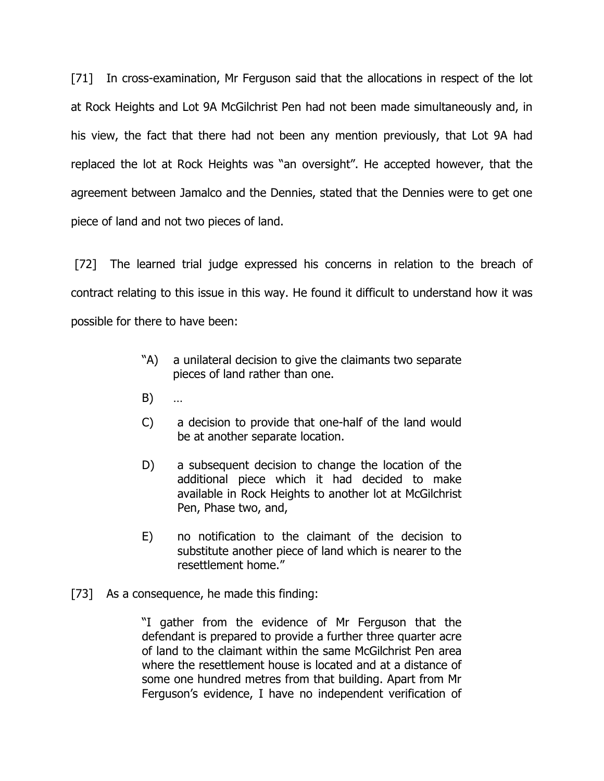[71] In cross-examination, Mr Ferguson said that the allocations in respect of the lot at Rock Heights and Lot 9A McGilchrist Pen had not been made simultaneously and, in his view, the fact that there had not been any mention previously, that Lot 9A had replaced the lot at Rock Heights was "an oversight". He accepted however, that the agreement between Jamalco and the Dennies, stated that the Dennies were to get one piece of land and not two pieces of land.

 [72] The learned trial judge expressed his concerns in relation to the breach of contract relating to this issue in this way. He found it difficult to understand how it was possible for there to have been:

- "A) a unilateral decision to give the claimants two separate pieces of land rather than one.
- B) …
- C) a decision to provide that one-half of the land would be at another separate location.
- D) a subsequent decision to change the location of the additional piece which it had decided to make available in Rock Heights to another lot at McGilchrist Pen, Phase two, and,
- E) no notification to the claimant of the decision to substitute another piece of land which is nearer to the resettlement home."
- [73] As a consequence, he made this finding:

"I gather from the evidence of Mr Ferguson that the defendant is prepared to provide a further three quarter acre of land to the claimant within the same McGilchrist Pen area where the resettlement house is located and at a distance of some one hundred metres from that building. Apart from Mr Ferguson's evidence, I have no independent verification of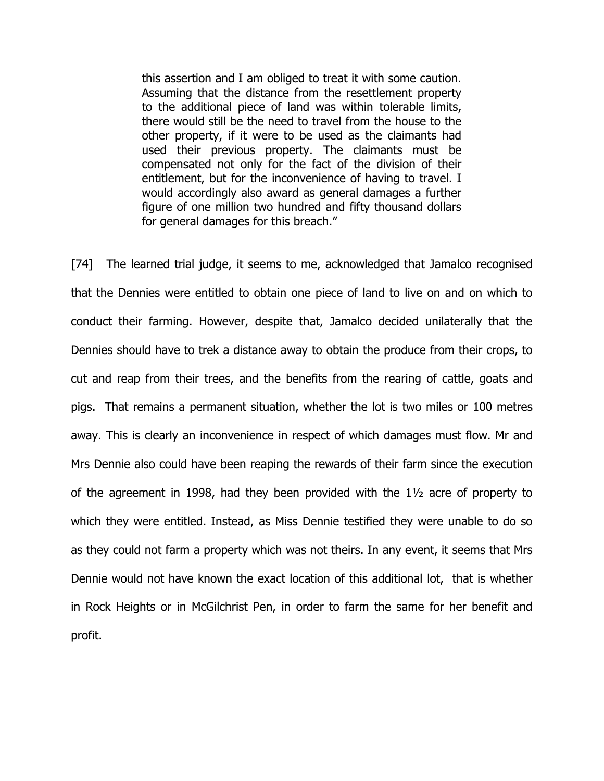this assertion and I am obliged to treat it with some caution. Assuming that the distance from the resettlement property to the additional piece of land was within tolerable limits, there would still be the need to travel from the house to the other property, if it were to be used as the claimants had used their previous property. The claimants must be compensated not only for the fact of the division of their entitlement, but for the inconvenience of having to travel. I would accordingly also award as general damages a further figure of one million two hundred and fifty thousand dollars for general damages for this breach."

[74] The learned trial judge, it seems to me, acknowledged that Jamalco recognised that the Dennies were entitled to obtain one piece of land to live on and on which to conduct their farming. However, despite that, Jamalco decided unilaterally that the Dennies should have to trek a distance away to obtain the produce from their crops, to cut and reap from their trees, and the benefits from the rearing of cattle, goats and pigs. That remains a permanent situation, whether the lot is two miles or 100 metres away. This is clearly an inconvenience in respect of which damages must flow. Mr and Mrs Dennie also could have been reaping the rewards of their farm since the execution of the agreement in 1998, had they been provided with the 1½ acre of property to which they were entitled. Instead, as Miss Dennie testified they were unable to do so as they could not farm a property which was not theirs. In any event, it seems that Mrs Dennie would not have known the exact location of this additional lot, that is whether in Rock Heights or in McGilchrist Pen, in order to farm the same for her benefit and profit.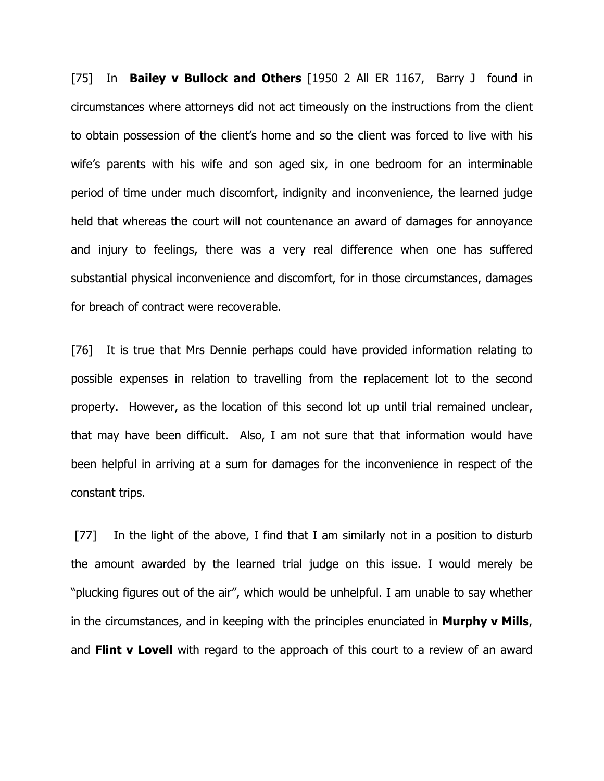[75] In Bailey v Bullock and Others [1950 2 All ER 1167, Barry J found in circumstances where attorneys did not act timeously on the instructions from the client to obtain possession of the client's home and so the client was forced to live with his wife's parents with his wife and son aged six, in one bedroom for an interminable period of time under much discomfort, indignity and inconvenience, the learned judge held that whereas the court will not countenance an award of damages for annoyance and injury to feelings, there was a very real difference when one has suffered substantial physical inconvenience and discomfort, for in those circumstances, damages for breach of contract were recoverable.

[76] It is true that Mrs Dennie perhaps could have provided information relating to possible expenses in relation to travelling from the replacement lot to the second property. However, as the location of this second lot up until trial remained unclear, that may have been difficult. Also, I am not sure that that information would have been helpful in arriving at a sum for damages for the inconvenience in respect of the constant trips.

[77] In the light of the above, I find that I am similarly not in a position to disturb the amount awarded by the learned trial judge on this issue. I would merely be "plucking figures out of the air", which would be unhelpful. I am unable to say whether in the circumstances, and in keeping with the principles enunciated in **Murphy v Mills**, and Flint  $\bf{v}$  Lovell with regard to the approach of this court to a review of an award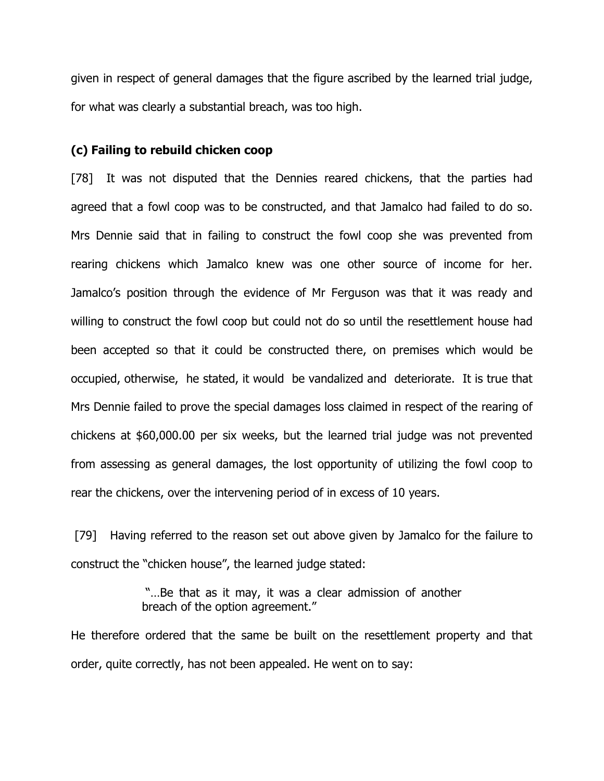given in respect of general damages that the figure ascribed by the learned trial judge, for what was clearly a substantial breach, was too high.

#### (c) Failing to rebuild chicken coop

[78] It was not disputed that the Dennies reared chickens, that the parties had agreed that a fowl coop was to be constructed, and that Jamalco had failed to do so. Mrs Dennie said that in failing to construct the fowl coop she was prevented from rearing chickens which Jamalco knew was one other source of income for her. Jamalco's position through the evidence of Mr Ferguson was that it was ready and willing to construct the fowl coop but could not do so until the resettlement house had been accepted so that it could be constructed there, on premises which would be occupied, otherwise, he stated, it would be vandalized and deteriorate. It is true that Mrs Dennie failed to prove the special damages loss claimed in respect of the rearing of chickens at \$60,000.00 per six weeks, but the learned trial judge was not prevented from assessing as general damages, the lost opportunity of utilizing the fowl coop to rear the chickens, over the intervening period of in excess of 10 years.

 [79] Having referred to the reason set out above given by Jamalco for the failure to construct the "chicken house", the learned judge stated:

> "…Be that as it may, it was a clear admission of another breach of the option agreement."

He therefore ordered that the same be built on the resettlement property and that order, quite correctly, has not been appealed. He went on to say: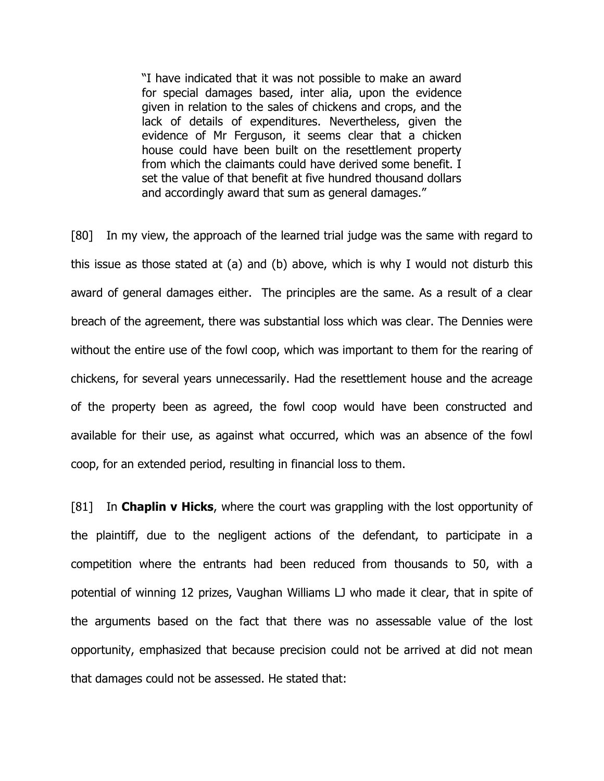"I have indicated that it was not possible to make an award for special damages based, inter alia, upon the evidence given in relation to the sales of chickens and crops, and the lack of details of expenditures. Nevertheless, given the evidence of Mr Ferguson, it seems clear that a chicken house could have been built on the resettlement property from which the claimants could have derived some benefit. I set the value of that benefit at five hundred thousand dollars and accordingly award that sum as general damages."

[80] In my view, the approach of the learned trial judge was the same with regard to this issue as those stated at (a) and (b) above, which is why I would not disturb this award of general damages either. The principles are the same. As a result of a clear breach of the agreement, there was substantial loss which was clear. The Dennies were without the entire use of the fowl coop, which was important to them for the rearing of chickens, for several years unnecessarily. Had the resettlement house and the acreage of the property been as agreed, the fowl coop would have been constructed and available for their use, as against what occurred, which was an absence of the fowl coop, for an extended period, resulting in financial loss to them.

[81] In **Chaplin v Hicks**, where the court was grappling with the lost opportunity of the plaintiff, due to the negligent actions of the defendant, to participate in a competition where the entrants had been reduced from thousands to 50, with a potential of winning 12 prizes, Vaughan Williams LJ who made it clear, that in spite of the arguments based on the fact that there was no assessable value of the lost opportunity, emphasized that because precision could not be arrived at did not mean that damages could not be assessed. He stated that: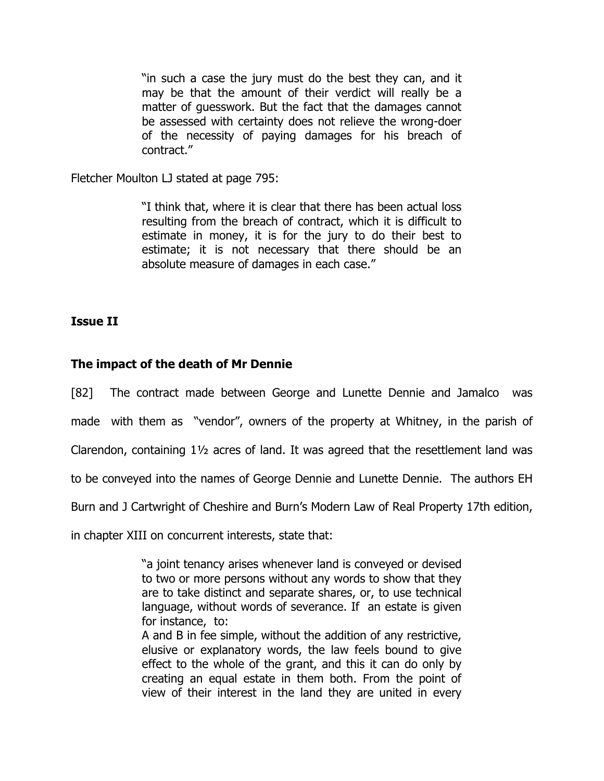"in such a case the jury must do the best they can, and it may be that the amount of their verdict will really be a matter of guesswork. But the fact that the damages cannot be assessed with certainty does not relieve the wrong-doer of the necessity of paying damages for his breach of contract."

Fletcher Moulton LJ stated at page 795:

"I think that, where it is clear that there has been actual loss resulting from the breach of contract, which it is difficult to estimate in money, it is for the jury to do their best to estimate; it is not necessary that there should be an absolute measure of damages in each case."

# Issue II

# The impact of the death of Mr Dennie

[82] The contract made between George and Lunette Dennie and Jamalco was

made with them as "vendor", owners of the property at Whitney, in the parish of

Clarendon, containing 1½ acres of land. It was agreed that the resettlement land was

to be conveyed into the names of George Dennie and Lunette Dennie. The authors EH

Burn and J Cartwright of Cheshire and Burn's Modern Law of Real Property 17th edition,

in chapter XIII on concurrent interests, state that:

"a joint tenancy arises whenever land is conveyed or devised to two or more persons without any words to show that they are to take distinct and separate shares, or, to use technical language, without words of severance. If an estate is given for instance, to:

A and B in fee simple, without the addition of any restrictive, elusive or explanatory words, the law feels bound to give effect to the whole of the grant, and this it can do only by creating an equal estate in them both. From the point of view of their interest in the land they are united in every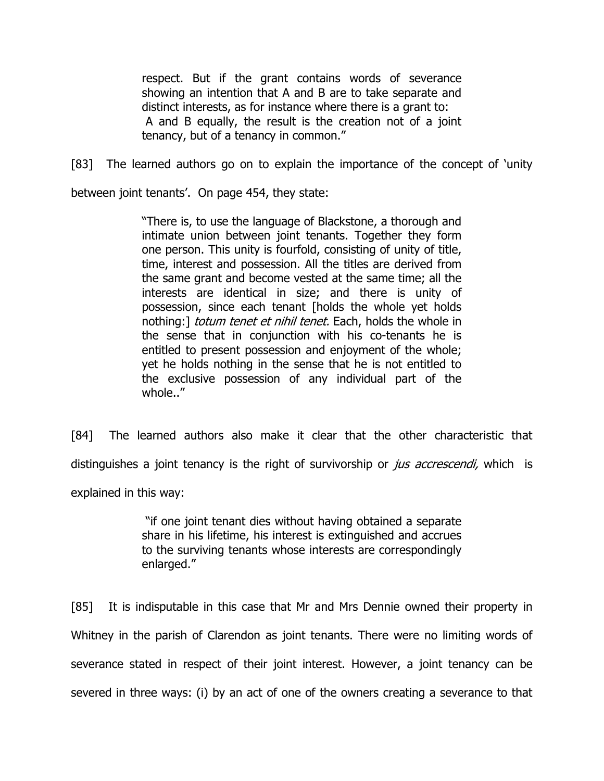respect. But if the grant contains words of severance showing an intention that A and B are to take separate and distinct interests, as for instance where there is a grant to: A and B equally, the result is the creation not of a joint tenancy, but of a tenancy in common."

[83] The learned authors go on to explain the importance of the concept of 'unity

between joint tenants'. On page 454, they state:

"There is, to use the language of Blackstone, a thorough and intimate union between joint tenants. Together they form one person. This unity is fourfold, consisting of unity of title, time, interest and possession. All the titles are derived from the same grant and become vested at the same time; all the interests are identical in size; and there is unity of possession, since each tenant [holds the whole yet holds nothing:] *totum tenet et nihil tenet*. Each, holds the whole in the sense that in conjunction with his co-tenants he is entitled to present possession and enjoyment of the whole; yet he holds nothing in the sense that he is not entitled to the exclusive possession of any individual part of the whole.."

[84] The learned authors also make it clear that the other characteristic that distinguishes a joint tenancy is the right of survivorship or *jus accrescendi*, which is explained in this way:

> "if one joint tenant dies without having obtained a separate share in his lifetime, his interest is extinguished and accrues to the surviving tenants whose interests are correspondingly enlarged."

[85] It is indisputable in this case that Mr and Mrs Dennie owned their property in Whitney in the parish of Clarendon as joint tenants. There were no limiting words of severance stated in respect of their joint interest. However, a joint tenancy can be severed in three ways: (i) by an act of one of the owners creating a severance to that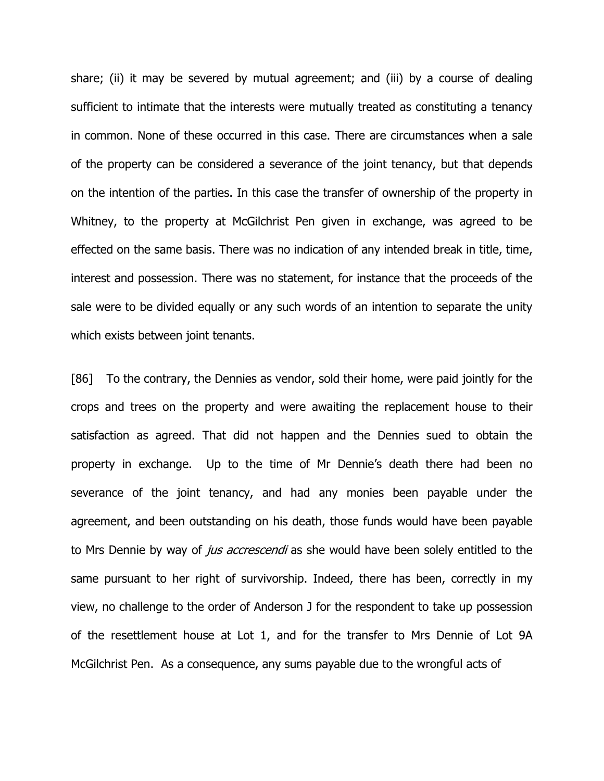share; (ii) it may be severed by mutual agreement; and (iii) by a course of dealing sufficient to intimate that the interests were mutually treated as constituting a tenancy in common. None of these occurred in this case. There are circumstances when a sale of the property can be considered a severance of the joint tenancy, but that depends on the intention of the parties. In this case the transfer of ownership of the property in Whitney, to the property at McGilchrist Pen given in exchange, was agreed to be effected on the same basis. There was no indication of any intended break in title, time, interest and possession. There was no statement, for instance that the proceeds of the sale were to be divided equally or any such words of an intention to separate the unity which exists between joint tenants.

[86] To the contrary, the Dennies as vendor, sold their home, were paid jointly for the crops and trees on the property and were awaiting the replacement house to their satisfaction as agreed. That did not happen and the Dennies sued to obtain the property in exchange. Up to the time of Mr Dennie's death there had been no severance of the joint tenancy, and had any monies been payable under the agreement, and been outstanding on his death, those funds would have been payable to Mrs Dennie by way of *jus accrescendi* as she would have been solely entitled to the same pursuant to her right of survivorship. Indeed, there has been, correctly in my view, no challenge to the order of Anderson J for the respondent to take up possession of the resettlement house at Lot 1, and for the transfer to Mrs Dennie of Lot 9A McGilchrist Pen. As a consequence, any sums payable due to the wrongful acts of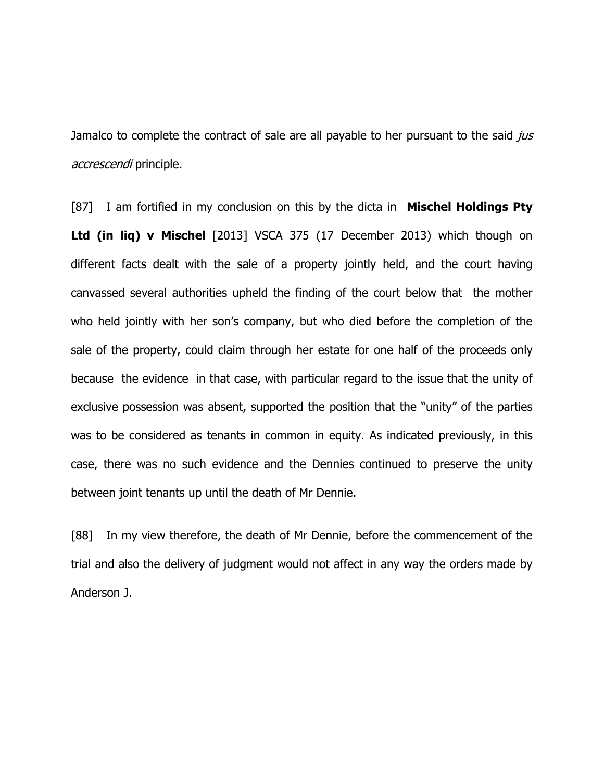Jamalco to complete the contract of sale are all payable to her pursuant to the said jus accrescendi principle.

[87] I am fortified in my conclusion on this by the dicta in **Mischel Holdings Pty** Ltd (in lig) v Mischel [2013] VSCA 375 (17 December 2013) which though on different facts dealt with the sale of a property jointly held, and the court having canvassed several authorities upheld the finding of the court below that the mother who held jointly with her son's company, but who died before the completion of the sale of the property, could claim through her estate for one half of the proceeds only because the evidence in that case, with particular regard to the issue that the unity of exclusive possession was absent, supported the position that the "unity" of the parties was to be considered as tenants in common in equity. As indicated previously, in this case, there was no such evidence and the Dennies continued to preserve the unity between joint tenants up until the death of Mr Dennie.

[88] In my view therefore, the death of Mr Dennie, before the commencement of the trial and also the delivery of judgment would not affect in any way the orders made by Anderson J.